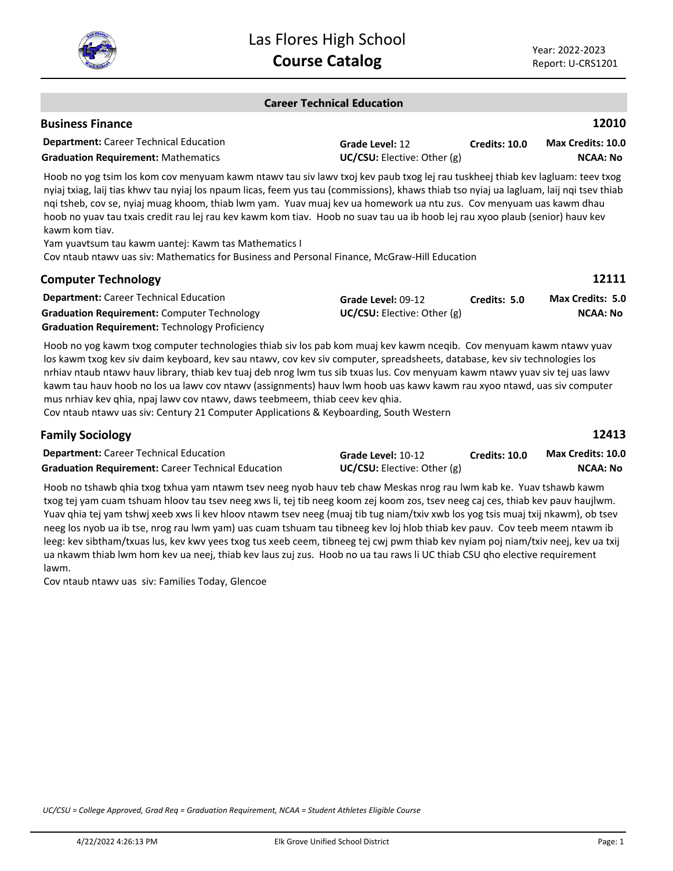

#### **Career Technical Education**

#### **Business Finance**

**Family Sociology**

| <b>Department:</b> Career Technical Education | Grade Level: 12                    | <b>Credits: 10.0</b> | <b>Max Credits: 10.0</b> |
|-----------------------------------------------|------------------------------------|----------------------|--------------------------|
| <b>Graduation Requirement: Mathematics</b>    | <b>UC/CSU:</b> Elective: Other (g) |                      | <b>NCAA: No</b>          |

Hoob no yog tsim los kom cov menyuam kawm ntawv tau siv lawv txoj kev paub txog lej rau tuskheej thiab kev lagluam: teev txog nyiaj txiag, laij tias khwv tau nyiaj los npaum licas, feem yus tau (commissions), khaws thiab tso nyiaj ua lagluam, laij nqi tsev thiab nqi tsheb, cov se, nyiaj muag khoom, thiab lwm yam. Yuav muaj kev ua homework ua ntu zus. Cov menyuam uas kawm dhau hoob no yuav tau txais credit rau lej rau kev kawm kom tiav. Hoob no suav tau ua ib hoob lej rau xyoo plaub (senior) hauv kev kawm kom tiav.

Yam yuavtsum tau kawm uantej: Kawm tas Mathematics I

Cov ntaub ntawv uas siv: Mathematics for Business and Personal Finance, McGraw-Hill Education

| <b>Computer Technology</b>                            |                                 |              | 12111                   |
|-------------------------------------------------------|---------------------------------|--------------|-------------------------|
| <b>Department:</b> Career Technical Education         | Grade Level: 09-12              | Credits: 5.0 | <b>Max Credits: 5.0</b> |
| <b>Graduation Requirement: Computer Technology</b>    | $UC/CSU:$ Elective: Other $(g)$ |              | <b>NCAA: No</b>         |
| <b>Graduation Requirement: Technology Proficiency</b> |                                 |              |                         |

Hoob no yog kawm txog computer technologies thiab siv los pab kom muaj kev kawm nceqib. Cov menyuam kawm ntawv yuav los kawm txog kev siv daim keyboard, kev sau ntawv, cov kev siv computer, spreadsheets, database, kev siv technologies los nrhiav ntaub ntawv hauv library, thiab kev tuaj deb nrog lwm tus sib txuas lus. Cov menyuam kawm ntawv yuav siv tej uas lawv kawm tau hauv hoob no los ua lawv cov ntawv (assignments) hauv lwm hoob uas kawv kawm rau xyoo ntawd, uas siv computer mus nrhiav kev qhia, npaj lawv cov ntawv, daws teebmeem, thiab ceev kev qhia.

Cov ntaub ntawv uas siv: Century 21 Computer Applications & Keyboarding, South Western

**12413**

| <b>Department:</b> Career Technical Education             | Grade Level: 10-12              | Credits: 10.0 | <b>Max Credits: 10.0</b> |
|-----------------------------------------------------------|---------------------------------|---------------|--------------------------|
| <b>Graduation Requirement: Career Technical Education</b> | $UC/CSU:$ Elective: Other $(g)$ |               | NCAA: No                 |

Hoob no tshawb qhia txog txhua yam ntawm tsev neeg nyob hauv teb chaw Meskas nrog rau lwm kab ke. Yuav tshawb kawm txog tej yam cuam tshuam hloov tau tsev neeg xws li, tej tib neeg koom zej koom zos, tsev neeg caj ces, thiab kev pauv haujlwm. Yuav qhia tej yam tshwj xeeb xws li kev hloov ntawm tsev neeg (muaj tib tug niam/txiv xwb los yog tsis muaj txij nkawm), ob tsev neeg los nyob ua ib tse, nrog rau lwm yam) uas cuam tshuam tau tibneeg kev loj hlob thiab kev pauv. Cov teeb meem ntawm ib leeg: kev sibtham/txuas lus, kev kwv yees txog tus xeeb ceem, tibneeg tej cwj pwm thiab kev nyiam poj niam/txiv neej, kev ua txij ua nkawm thiab lwm hom kev ua neej, thiab kev laus zuj zus. Hoob no ua tau raws li UC thiab CSU qho elective requirement lawm.

Cov ntaub ntawv uas siv: Families Today, Glencoe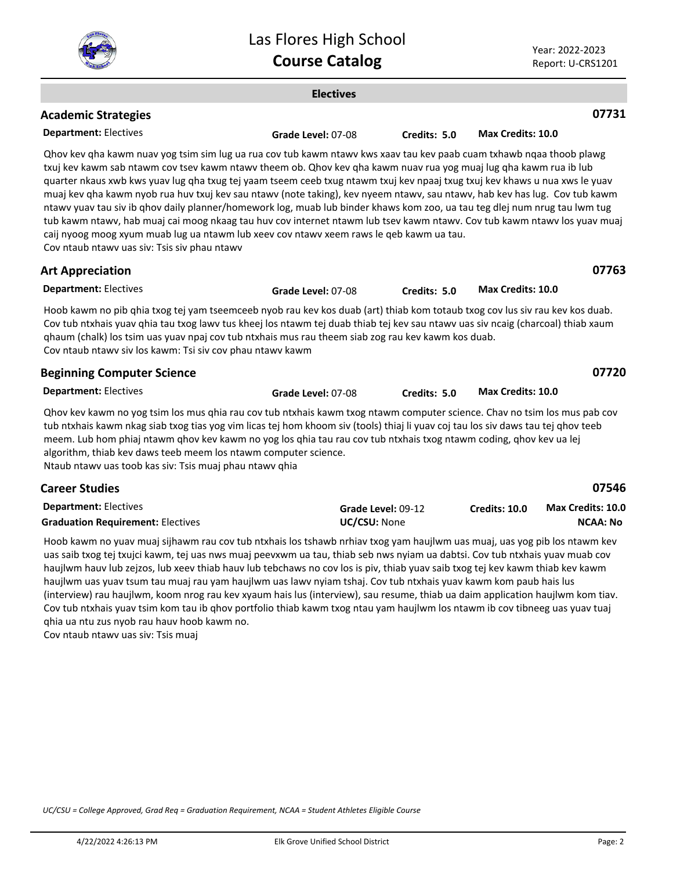

|                                                                                                                                                                                                                                                                                                                                                                                                                                                                                                                                                                                                                                                                                                                                                                                                                                                                                                             | <b>Electives</b>   |                    |                          |                                             |
|-------------------------------------------------------------------------------------------------------------------------------------------------------------------------------------------------------------------------------------------------------------------------------------------------------------------------------------------------------------------------------------------------------------------------------------------------------------------------------------------------------------------------------------------------------------------------------------------------------------------------------------------------------------------------------------------------------------------------------------------------------------------------------------------------------------------------------------------------------------------------------------------------------------|--------------------|--------------------|--------------------------|---------------------------------------------|
| <b>Academic Strategies</b>                                                                                                                                                                                                                                                                                                                                                                                                                                                                                                                                                                                                                                                                                                                                                                                                                                                                                  |                    |                    |                          | 07731                                       |
| <b>Department: Electives</b>                                                                                                                                                                                                                                                                                                                                                                                                                                                                                                                                                                                                                                                                                                                                                                                                                                                                                | Grade Level: 07-08 | Credits: 5.0       | Max Credits: 10.0        |                                             |
| Qhov kev qha kawm nuav yog tsim sim lug ua rua cov tub kawm ntawv kws xaav tau kev paab cuam txhawb nqaa thoob plawg<br>txuj kev kawm sab ntawm cov tsev kawm ntawv theem ob. Qhov kev qha kawm nuav rua yog muaj lug qha kawm rua ib lub<br>quarter nkaus xwb kws yuav lug qha txug tej yaam tseem ceeb txug ntawm txuj kev npaaj txug txuj kev khaws u nua xws le yuav<br>muaj kev qha kawm nyob rua huv txuj kev sau ntawv (note taking), kev nyeem ntawv, sau ntawv, hab kev has lug. Cov tub kawm<br>ntawv yuav tau siv ib qhov daily planner/homework log, muab lub binder khaws kom zoo, ua tau teg dlej num nrug tau lwm tug<br>tub kawm ntawv, hab muaj cai moog nkaag tau huv cov internet ntawm lub tsev kawm ntawv. Cov tub kawm ntawv los yuav muaj<br>caij nyoog moog xyum muab lug ua ntawm lub xeev cov ntawv xeem raws le qeb kawm ua tau.<br>Cov ntaub ntawv uas siv: Tsis siv phau ntawv |                    |                    |                          |                                             |
| <b>Art Appreciation</b>                                                                                                                                                                                                                                                                                                                                                                                                                                                                                                                                                                                                                                                                                                                                                                                                                                                                                     |                    |                    |                          | 07763                                       |
| <b>Department: Electives</b>                                                                                                                                                                                                                                                                                                                                                                                                                                                                                                                                                                                                                                                                                                                                                                                                                                                                                | Grade Level: 07-08 | Credits: 5.0       | Max Credits: 10.0        |                                             |
| Hoob kawm no pib qhia txog tej yam tseemceeb nyob rau kev kos duab (art) thiab kom totaub txog cov lus siv rau kev kos duab.<br>Cov tub ntxhais yuav qhia tau txog lawv tus kheej los ntawm tej duab thiab tej kev sau ntawv uas siv ncaig (charcoal) thiab xaum<br>ghaum (chalk) los tsim uas yuav npaj cov tub ntxhais mus rau theem siab zog rau kev kawm kos duab.<br>Cov ntaub ntawv siv los kawm: Tsi siv cov phau ntawv kawm                                                                                                                                                                                                                                                                                                                                                                                                                                                                         |                    |                    |                          |                                             |
| <b>Beginning Computer Science</b>                                                                                                                                                                                                                                                                                                                                                                                                                                                                                                                                                                                                                                                                                                                                                                                                                                                                           |                    |                    |                          | 07720                                       |
| <b>Department: Electives</b>                                                                                                                                                                                                                                                                                                                                                                                                                                                                                                                                                                                                                                                                                                                                                                                                                                                                                | Grade Level: 07-08 | Credits: 5.0       | <b>Max Credits: 10.0</b> |                                             |
| Qhov kev kawm no yog tsim los mus qhia rau cov tub ntxhais kawm txog ntawm computer science. Chav no tsim los mus pab cov<br>tub ntxhais kawm nkag siab txog tias yog vim licas tej hom khoom siv (tools) thiaj li yuav coj tau los siv daws tau tej qhov teeb<br>meem. Lub hom phiaj ntawm qhov kev kawm no yog los qhia tau rau cov tub ntxhais txog ntawm coding, qhov kev ua lej<br>algorithm, thiab kev daws teeb meem los ntawm computer science.<br>Ntaub ntawv uas toob kas siv: Tsis muaj phau ntawv qhia                                                                                                                                                                                                                                                                                                                                                                                          |                    |                    |                          |                                             |
| <b>Career Studies</b>                                                                                                                                                                                                                                                                                                                                                                                                                                                                                                                                                                                                                                                                                                                                                                                                                                                                                       |                    |                    |                          | 07546                                       |
| <b>Department: Electives</b><br><b>Graduation Requirement: Electives</b>                                                                                                                                                                                                                                                                                                                                                                                                                                                                                                                                                                                                                                                                                                                                                                                                                                    | UC/CSU: None       | Grade Level: 09-12 | <b>Credits: 10.0</b>     | <b>Max Credits: 10.0</b><br><b>NCAA: No</b> |
| Hoob kawm no yuav muaj sijhawm rau cov tub ntxhais los tshawb nrhiav txog yam haujlwm uas muaj, uas yog pib los ntawm kev<br>uas saib txog tej txujci kawm, tej uas nws muaj peevxwm ua tau, thiab seb nws nyiam ua dabtsi. Cov tub ntxhais yuav muab cov<br>haujlwm hauv lub zejzos, lub xeev thiab hauv lub tebchaws no cov los is piv, thiab yuav saib txog tej kev kawm thiab kev kawm                                                                                                                                                                                                                                                                                                                                                                                                                                                                                                                  |                    |                    |                          |                                             |

haujlwm uas yuav tsum tau muaj rau yam haujlwm uas lawv nyiam tshaj. Cov tub ntxhais yuav kawm kom paub hais lus (interview) rau haujlwm, koom nrog rau kev xyaum hais lus (interview), sau resume, thiab ua daim application haujlwm kom tiav. Cov tub ntxhais yuav tsim kom tau ib qhov portfolio thiab kawm txog ntau yam haujlwm los ntawm ib cov tibneeg uas yuav tuaj qhia ua ntu zus nyob rau hauv hoob kawm no.

Cov ntaub ntawv uas siv: Tsis muaj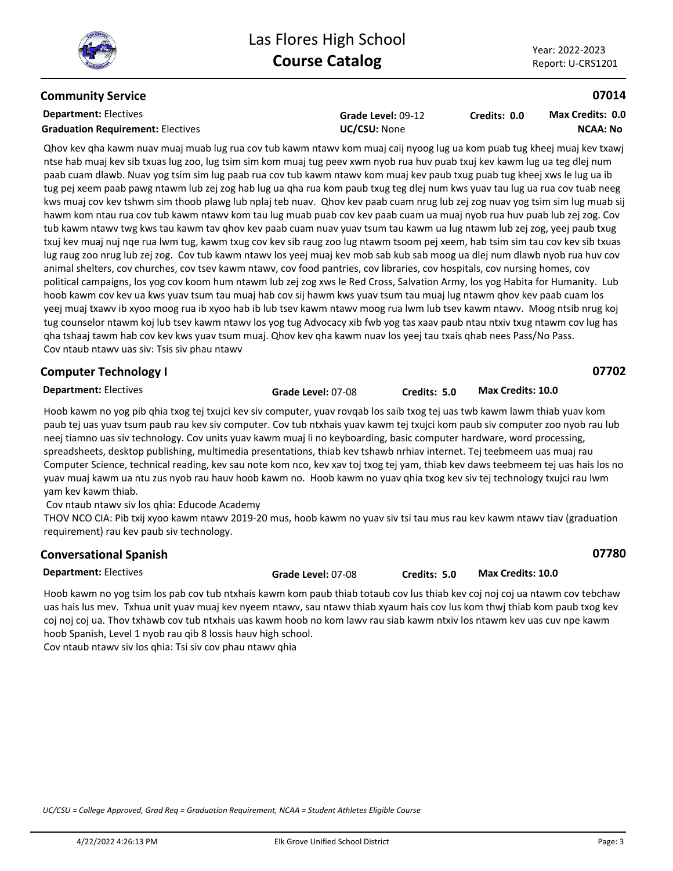## **Community Service**

## **Department:** Electives **Graduation Requirement:** Electives **UC/CSU:** None

**Grade Level:** 09-12

#### **Credits: 0.0 NCAA: No Max Credits: 0.0**

Qhov kev qha kawm nuav muaj muab lug rua cov tub kawm ntawv kom muaj caij nyoog lug ua kom puab tug kheej muaj kev txawj ntse hab muaj kev sib txuas lug zoo, lug tsim sim kom muaj tug peev xwm nyob rua huv puab txuj kev kawm lug ua teg dlej num paab cuam dlawb. Nuav yog tsim sim lug paab rua cov tub kawm ntawv kom muaj kev paub txug puab tug kheej xws le lug ua ib tug pej xeem paab pawg ntawm lub zej zog hab lug ua qha rua kom paub txug teg dlej num kws yuav tau lug ua rua cov tuab neeg kws muaj cov kev tshwm sim thoob plawg lub nplaj teb nuav. Qhov kev paab cuam nrug lub zej zog nuav yog tsim sim lug muab sij hawm kom ntau rua cov tub kawm ntawv kom tau lug muab puab cov kev paab cuam ua muaj nyob rua huv puab lub zej zog. Cov tub kawm ntawv twg kws tau kawm tav qhov kev paab cuam nuav yuav tsum tau kawm ua lug ntawm lub zej zog, yeej paub txug txuj kev muaj nuj nqe rua lwm tug, kawm txug cov kev sib raug zoo lug ntawm tsoom pej xeem, hab tsim sim tau cov kev sib txuas lug raug zoo nrug lub zej zog. Cov tub kawm ntawv los yeej muaj kev mob sab kub sab moog ua dlej num dlawb nyob rua huv cov animal shelters, cov churches, cov tsev kawm ntawv, cov food pantries, cov libraries, cov hospitals, cov nursing homes, cov political campaigns, los yog cov koom hum ntawm lub zej zog xws le Red Cross, Salvation Army, los yog Habita for Humanity. Lub hoob kawm cov kev ua kws yuav tsum tau muaj hab cov sij hawm kws yuav tsum tau muaj lug ntawm qhov kev paab cuam los yeej muaj txawv ib xyoo moog rua ib xyoo hab ib lub tsev kawm ntawv moog rua lwm lub tsev kawm ntawv. Moog ntsib nrug koj tug counselor ntawm koj lub tsev kawm ntawv los yog tug Advocacy xib fwb yog tas xaav paub ntau ntxiv txug ntawm cov lug has qha tshaaj tawm hab cov kev kws yuav tsum muaj. Qhov kev qha kawm nuav los yeej tau txais qhab nees Pass/No Pass. Cov ntaub ntawv uas siv: Tsis siv phau ntawv

## **Computer Technology I**

**07702**

**07780**

**Department:** Electives

**Grade Level:** 07-08 **Credits: 5.0 Max Credits: 10.0**

Hoob kawm no yog pib qhia txog tej txujci kev siv computer, yuav rovqab los saib txog tej uas twb kawm lawm thiab yuav kom paub tej uas yuav tsum paub rau kev siv computer. Cov tub ntxhais yuav kawm tej txujci kom paub siv computer zoo nyob rau lub neej tiamno uas siv technology. Cov units yuav kawm muaj li no keyboarding, basic computer hardware, word processing, spreadsheets, desktop publishing, multimedia presentations, thiab kev tshawb nrhiav internet. Tej teebmeem uas muaj rau Computer Science, technical reading, kev sau note kom nco, kev xav toj txog tej yam, thiab kev daws teebmeem tej uas hais los no yuav muaj kawm ua ntu zus nyob rau hauv hoob kawm no. Hoob kawm no yuav qhia txog kev siv tej technology txujci rau lwm yam kev kawm thiab.

Cov ntaub ntawv siv los qhia: Educode Academy

THOV NCO CIA: Pib txij xyoo kawm ntawv 2019-20 mus, hoob kawm no yuav siv tsi tau mus rau kev kawm ntawv tiav (graduation requirement) rau kev paub siv technology.

| <b>Conversational Spanish</b> |                    |              |                   |
|-------------------------------|--------------------|--------------|-------------------|
| <b>Department:</b> Electives  | Grade Level: 07-08 | Credits: 5.0 | Max Credits: 10.0 |

Hoob kawm no yog tsim los pab cov tub ntxhais kawm kom paub thiab totaub cov lus thiab kev coj noj coj ua ntawm cov tebchaw uas hais lus mev. Txhua unit yuav muaj kev nyeem ntawv, sau ntawv thiab xyaum hais cov lus kom thwj thiab kom paub txog kev coj noj coj ua. Thov txhawb cov tub ntxhais uas kawm hoob no kom lawv rau siab kawm ntxiv los ntawm kev uas cuv npe kawm hoob Spanish, Level 1 nyob rau qib 8 lossis hauv high school. Cov ntaub ntawv siv los qhia: Tsi siv cov phau ntawv qhia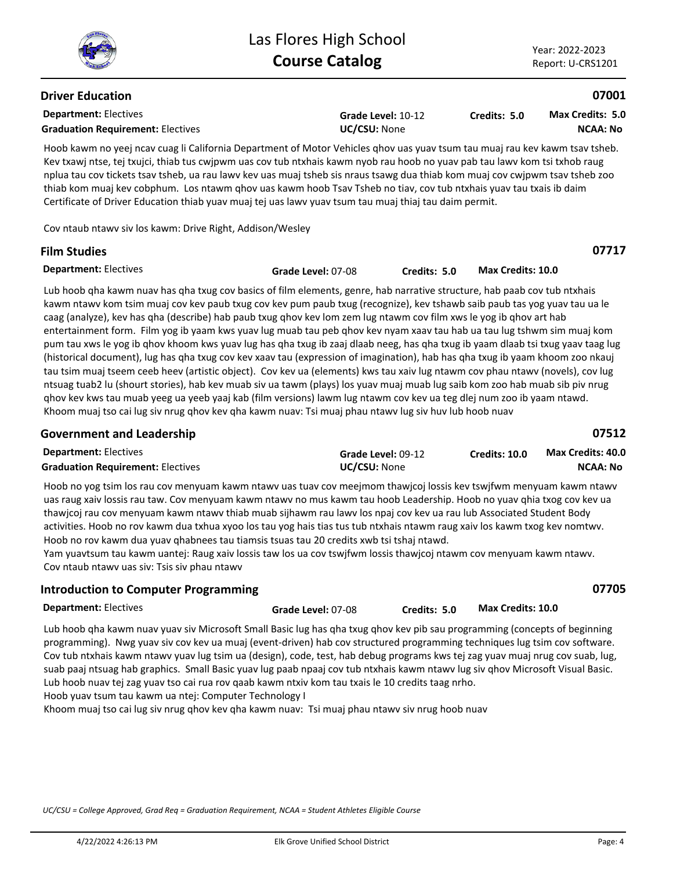**07717**

## **Driver Education**

**Department:** Electives **Graduation Requirement:** Electives **UC/CSU:** None

**Grade Level:** 10-12

**Credits: 5.0 NCAA: No Max Credits: 5.0**

Hoob kawm no yeej ncav cuag li California Department of Motor Vehicles qhov uas yuav tsum tau muaj rau kev kawm tsav tsheb. Kev txawj ntse, tej txujci, thiab tus cwjpwm uas cov tub ntxhais kawm nyob rau hoob no yuav pab tau lawv kom tsi txhob raug nplua tau cov tickets tsav tsheb, ua rau lawv kev uas muaj tsheb sis nraus tsawg dua thiab kom muaj cov cwjpwm tsav tsheb zoo thiab kom muaj kev cobphum. Los ntawm qhov uas kawm hoob Tsav Tsheb no tiav, cov tub ntxhais yuav tau txais ib daim Certificate of Driver Education thiab yuav muaj tej uas lawv yuav tsum tau muaj thiaj tau daim permit.

Cov ntaub ntawv siv los kawm: Drive Right, Addison/Wesley

## **Film Studies**

**Department:** Electives **Grade Level:** 07-08 **Credits: 5.0 Max Credits: 10.0**

Lub hoob qha kawm nuav has qha txug cov basics of film elements, genre, hab narrative structure, hab paab cov tub ntxhais kawm ntawv kom tsim muaj cov kev paub txug cov kev pum paub txug (recognize), kev tshawb saib paub tas yog yuav tau ua le caag (analyze), kev has qha (describe) hab paub txug qhov kev lom zem lug ntawm cov film xws le yog ib qhov art hab entertainment form. Film yog ib yaam kws yuav lug muab tau peb qhov kev nyam xaav tau hab ua tau lug tshwm sim muaj kom pum tau xws le yog ib qhov khoom kws yuav lug has qha txug ib zaaj dlaab neeg, has qha txug ib yaam dlaab tsi txug yaav taag lug (historical document), lug has qha txug cov kev xaav tau (expression of imagination), hab has qha txug ib yaam khoom zoo nkauj tau tsim muaj tseem ceeb heev (artistic object). Cov kev ua (elements) kws tau xaiv lug ntawm cov phau ntawv (novels), cov lug ntsuag tuab2 lu (shourt stories), hab kev muab siv ua tawm (plays) los yuav muaj muab lug saib kom zoo hab muab sib piv nrug qhov kev kws tau muab yeeg ua yeeb yaaj kab (film versions) lawm lug ntawm cov kev ua teg dlej num zoo ib yaam ntawd. Khoom muaj tso cai lug siv nrug qhov kev qha kawm nuav: Tsi muaj phau ntawv lug siv huv lub hoob nuav

| <b>Government and Leadership</b>         | 07512                     |                      |                          |
|------------------------------------------|---------------------------|----------------------|--------------------------|
| <b>Department: Electives</b>             | <b>Grade Level: 09-12</b> | <b>Credits: 10.0</b> | <b>Max Credits: 40.0</b> |
| <b>Graduation Requirement: Electives</b> | <b>UC/CSU: None</b>       |                      | NCAA: No                 |

Hoob no yog tsim los rau cov menyuam kawm ntawv uas tuav cov meejmom thawjcoj lossis kev tswjfwm menyuam kawm ntawv uas raug xaiv lossis rau taw. Cov menyuam kawm ntawv no mus kawm tau hoob Leadership. Hoob no yuav qhia txog cov kev ua thawjcoj rau cov menyuam kawm ntawv thiab muab sijhawm rau lawv los npaj cov kev ua rau lub Associated Student Body activities. Hoob no rov kawm dua txhua xyoo los tau yog hais tias tus tub ntxhais ntawm raug xaiv los kawm txog kev nomtwv. Hoob no rov kawm dua yuav qhabnees tau tiamsis tsuas tau 20 credits xwb tsi tshaj ntawd.

Yam yuavtsum tau kawm uantej: Raug xaiv lossis taw los ua cov tswjfwm lossis thawjcoj ntawm cov menyuam kawm ntawv. Cov ntaub ntawv uas siv: Tsis siv phau ntawv

## **Introduction to Computer Programming**

**07705**

**Department:** Electives

Lub hoob qha kawm nuav yuav siv Microsoft Small Basic lug has qha txug qhov kev pib sau programming (concepts of beginning programming). Nwg yuav siv cov kev ua muaj (event-driven) hab cov structured programming techniques lug tsim cov software. Cov tub ntxhais kawm ntawv yuav lug tsim ua (design), code, test, hab debug programs kws tej zag yuav muaj nrug cov suab, lug, suab paaj ntsuag hab graphics. Small Basic yuav lug paab npaaj cov tub ntxhais kawm ntawv lug siv qhov Microsoft Visual Basic. Lub hoob nuav tej zag yuav tso cai rua rov qaab kawm ntxiv kom tau txais le 10 credits taag nrho. **Grade Level:** 07-08 **Credits: 5.0 Max Credits: 10.0**

Hoob yuav tsum tau kawm ua ntej: Computer Technology I

Khoom muaj tso cai lug siv nrug qhov kev qha kawm nuav: Tsi muaj phau ntawv siv nrug hoob nuav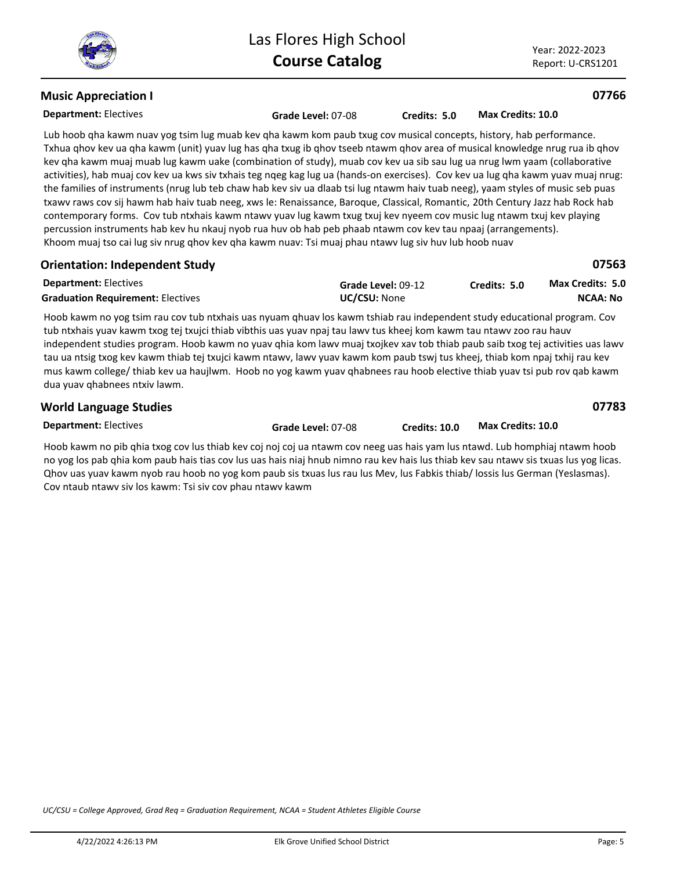Year: 2022-2023 Report: U-CRS1201

#### **Department:** Electives **Music Appreciation I**

#### **07766**

| <b>Department: Electives</b>                                                                                        |  |  |  | <b>Grade Level: 07-08</b> |  |  | Credits: 5.0 |  |  | Max Credits: 10.0 |  |
|---------------------------------------------------------------------------------------------------------------------|--|--|--|---------------------------|--|--|--------------|--|--|-------------------|--|
| Lub hoob qha kawm nuav yog tsim lug muab kev qha kawm kom paub txug cov musical concepts, history, hab performance. |  |  |  |                           |  |  |              |  |  |                   |  |
|                                                                                                                     |  |  |  |                           |  |  |              |  |  |                   |  |

Txhua qhov kev ua qha kawm (unit) yuav lug has qha txug ib qhov tseeb ntawm qhov area of musical knowledge nrug rua ib qhov kev qha kawm muaj muab lug kawm uake (combination of study), muab cov kev ua sib sau lug ua nrug lwm yaam (collaborative activities), hab muaj cov kev ua kws siv txhais teg nqeg kag lug ua (hands-on exercises). Cov kev ua lug qha kawm yuav muaj nrug: the families of instruments (nrug lub teb chaw hab kev siv ua dlaab tsi lug ntawm haiv tuab neeg), yaam styles of music seb puas txawv raws cov sij hawm hab haiv tuab neeg, xws le: Renaissance, Baroque, Classical, Romantic, 20th Century Jazz hab Rock hab contemporary forms. Cov tub ntxhais kawm ntawv yuav lug kawm txug txuj kev nyeem cov music lug ntawm txuj kev playing percussion instruments hab kev hu nkauj nyob rua huv ob hab peb phaab ntawm cov kev tau npaaj (arrangements). Khoom muaj tso cai lug siv nrug qhov kev qha kawm nuav: Tsi muaj phau ntawv lug siv huv lub hoob nuav

| <b>Orientation: Independent Study</b>    |                     |              | 07563                   |
|------------------------------------------|---------------------|--------------|-------------------------|
| <b>Department: Electives</b>             | Grade Level: 09-12  | Credits: 5.0 | <b>Max Credits: 5.0</b> |
| <b>Graduation Requirement: Electives</b> | <b>UC/CSU:</b> None |              | NCAA: No                |

Hoob kawm no yog tsim rau cov tub ntxhais uas nyuam qhuav los kawm tshiab rau independent study educational program. Cov tub ntxhais yuav kawm txog tej txujci thiab vibthis uas yuav npaj tau lawv tus kheej kom kawm tau ntawv zoo rau hauv independent studies program. Hoob kawm no yuav qhia kom lawv muaj txojkev xav tob thiab paub saib txog tej activities uas lawv tau ua ntsig txog kev kawm thiab tej txujci kawm ntawv, lawv yuav kawm kom paub tswj tus kheej, thiab kom npaj txhij rau kev mus kawm college/ thiab kev ua haujlwm. Hoob no yog kawm yuav qhabnees rau hoob elective thiab yuav tsi pub rov qab kawm dua yuav qhabnees ntxiv lawm.

| <b>World Language Studies</b> |                    |               |                   | 07783 |
|-------------------------------|--------------------|---------------|-------------------|-------|
| <b>Department: Electives</b>  | Grade Level: 07-08 | Credits: 10.0 | Max Credits: 10.0 |       |

Hoob kawm no pib qhia txog cov lus thiab kev coj noj coj ua ntawm cov neeg uas hais yam lus ntawd. Lub homphiaj ntawm hoob no yog los pab qhia kom paub hais tias cov lus uas hais niaj hnub nimno rau kev hais lus thiab kev sau ntawv sis txuas lus yog licas. Qhov uas yuav kawm nyob rau hoob no yog kom paub sis txuas lus rau lus Mev, lus Fabkis thiab/ lossis lus German (Yeslasmas). Cov ntaub ntawv siv los kawm: Tsi siv cov phau ntawv kawm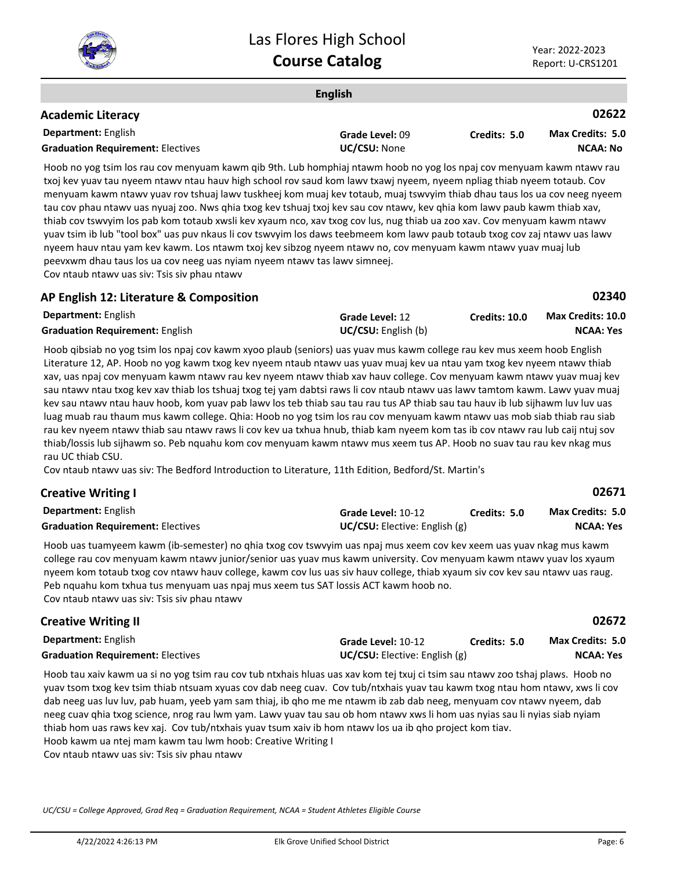

**02671**

| <b>English</b>                                                                                                                                                                                                                            |                 |              |                         |  |  |  |
|-------------------------------------------------------------------------------------------------------------------------------------------------------------------------------------------------------------------------------------------|-----------------|--------------|-------------------------|--|--|--|
| <b>Academic Literacy</b>                                                                                                                                                                                                                  |                 |              | 02622                   |  |  |  |
| <b>Department: English</b>                                                                                                                                                                                                                | Grade Level: 09 | Credits: 5.0 | <b>Max Credits: 5.0</b> |  |  |  |
| <b>Graduation Requirement: Electives</b>                                                                                                                                                                                                  | UC/CSU: None    |              | NCAA: No                |  |  |  |
| $\mathbf{u} \cdot \mathbf{I}$ , and the set of the set of the set of the set of the set of the set of the set of the set of the set of the set of the set of the set of the set of the set of the set of the set of the set of the set of |                 |              |                         |  |  |  |

Hoob no yog tsim los rau cov menyuam kawm qib 9th. Lub homphiaj ntawm hoob no yog los npaj cov menyuam kawm ntawv rau txoj kev yuav tau nyeem ntawv ntau hauv high school rov saud kom lawv txawj nyeem, nyeem npliag thiab nyeem totaub. Cov menyuam kawm ntawv yuav rov tshuaj lawv tuskheej kom muaj kev totaub, muaj tswvyim thiab dhau taus los ua cov neeg nyeem tau cov phau ntawv uas nyuaj zoo. Nws qhia txog kev tshuaj txoj kev sau cov ntawv, kev qhia kom lawv paub kawm thiab xav, thiab cov tswvyim los pab kom totaub xwsli kev xyaum nco, xav txog cov lus, nug thiab ua zoo xav. Cov menyuam kawm ntawv yuav tsim ib lub "tool box" uas puv nkaus li cov tswvyim los daws teebmeem kom lawv paub totaub txog cov zaj ntawv uas lawv nyeem hauv ntau yam kev kawm. Los ntawm txoj kev sibzog nyeem ntawv no, cov menyuam kawm ntawv yuav muaj lub peevxwm dhau taus los ua cov neeg uas nyiam nyeem ntawv tas lawv simneej. Cov ntaub ntawv uas siv: Tsis siv phau ntawv

## **AP English 12: Literature & Composition**

| <b>Department: English</b>             | <b>Grade Level: 12</b>     | <b>Credits: 10.0</b> | <b>Max Credits: 10.0</b> |
|----------------------------------------|----------------------------|----------------------|--------------------------|
| <b>Graduation Requirement: English</b> | <b>UC/CSU:</b> English (b) |                      | NCAA: Yes                |

Hoob qibsiab no yog tsim los npaj cov kawm xyoo plaub (seniors) uas yuav mus kawm college rau kev mus xeem hoob English Literature 12, AP. Hoob no yog kawm txog kev nyeem ntaub ntawv uas yuav muaj kev ua ntau yam txog kev nyeem ntawv thiab xav, uas npaj cov menyuam kawm ntawv rau kev nyeem ntawv thiab xav hauv college. Cov menyuam kawm ntawv yuav muaj kev sau ntawv ntau txog kev xav thiab los tshuaj txog tej yam dabtsi raws li cov ntaub ntawv uas lawv tamtom kawm. Lawv yuav muaj kev sau ntawv ntau hauv hoob, kom yuav pab lawv los teb thiab sau tau rau tus AP thiab sau tau hauv ib lub sijhawm luv luv uas luag muab rau thaum mus kawm college. Qhia: Hoob no yog tsim los rau cov menyuam kawm ntawv uas mob siab thiab rau siab rau kev nyeem ntawv thiab sau ntawv raws li cov kev ua txhua hnub, thiab kam nyeem kom tas ib cov ntawv rau lub caij ntuj sov thiab/lossis lub sijhawm so. Peb nquahu kom cov menyuam kawm ntawv mus xeem tus AP. Hoob no suav tau rau kev nkag mus rau UC thiab CSU.

Cov ntaub ntawv uas siv: The Bedford Introduction to Literature, 11th Edition, Bedford/St. Martin's

## **Creative Writing I**

| <b>Department:</b> English               | Grade Level: 10-12                   | Credits: 5.0 | <b>Max Credits: 5.0</b> |
|------------------------------------------|--------------------------------------|--------------|-------------------------|
| <b>Graduation Requirement: Electives</b> | <b>UC/CSU:</b> Elective: English (g) |              | NCAA: Yes               |

Hoob uas tuamyeem kawm (ib-semester) no qhia txog cov tswvyim uas npaj mus xeem cov kev xeem uas yuav nkag mus kawm college rau cov menyuam kawm ntawv junior/senior uas yuav mus kawm university. Cov menyuam kawm ntawv yuav los xyaum nyeem kom totaub txog cov ntawv hauv college, kawm cov lus uas siv hauv college, thiab xyaum siv cov kev sau ntawv uas raug. Peb nquahu kom txhua tus menyuam uas npaj mus xeem tus SAT lossis ACT kawm hoob no. Cov ntaub ntawv uas siv: Tsis siv phau ntawv

#### **Department:** English **02672 Creative Writing II Grade Level:** 10-12 **Graduation Requirement:** Electives **UC/CSU:** Elective: English (g) **Credits: 5.0 NCAA: Yes Max Credits: 5.0**

Hoob tau xaiv kawm ua si no yog tsim rau cov tub ntxhais hluas uas xav kom tej txuj ci tsim sau ntawv zoo tshaj plaws. Hoob no yuav tsom txog kev tsim thiab ntsuam xyuas cov dab neeg cuav. Cov tub/ntxhais yuav tau kawm txog ntau hom ntawv, xws li cov dab neeg uas luv luv, pab huam, yeeb yam sam thiaj, ib qho me me ntawm ib zab dab neeg, menyuam cov ntawv nyeem, dab neeg cuav qhia txog science, nrog rau lwm yam. Lawv yuav tau sau ob hom ntawv xws li hom uas nyias sau li nyias siab nyiam thiab hom uas raws kev xaj. Cov tub/ntxhais yuav tsum xaiv ib hom ntawv los ua ib qho project kom tiav. Hoob kawm ua ntej mam kawm tau lwm hoob: Creative Writing I Cov ntaub ntawv uas siv: Tsis siv phau ntawv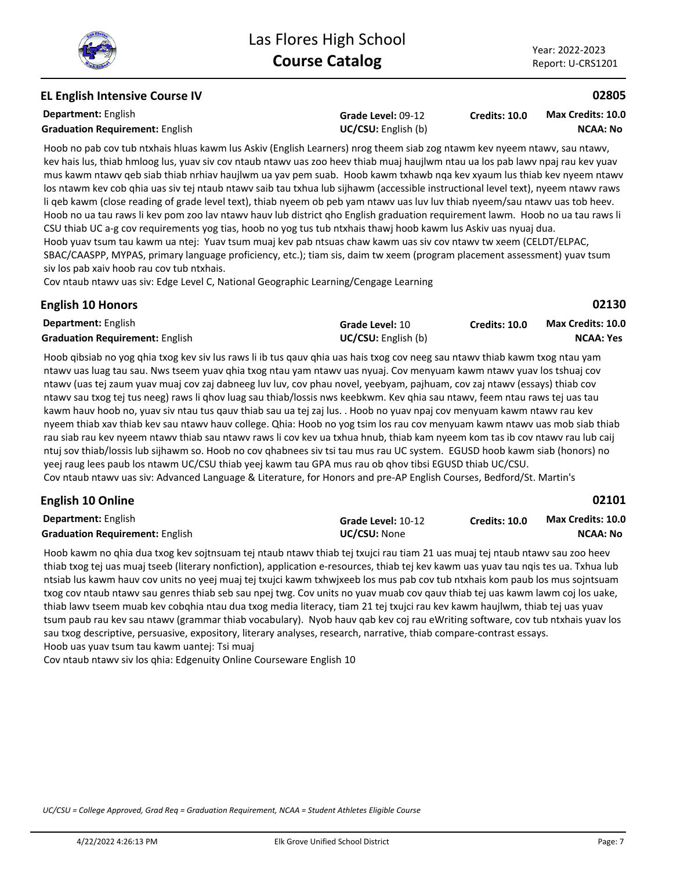**NCAA: Yes**

**02101**

## **EL English Intensive Course IV**

**Department:** English **Graduation Requirement:** English **Example 2018 UC/CSU:** English (b)

**Grade Level:** 09-12

**Credits: 10.0 NCAA: No Max Credits: 10.0**

Hoob no pab cov tub ntxhais hluas kawm lus Askiv (English Learners) nrog theem siab zog ntawm kev nyeem ntawv, sau ntawv, kev hais lus, thiab hmloog lus, yuav siv cov ntaub ntawv uas zoo heev thiab muaj haujlwm ntau ua los pab lawv npaj rau kev yuav mus kawm ntawv qeb siab thiab nrhiav haujlwm ua yav pem suab. Hoob kawm txhawb nqa kev xyaum lus thiab kev nyeem ntawv los ntawm kev cob qhia uas siv tej ntaub ntawv saib tau txhua lub sijhawm (accessible instructional level text), nyeem ntawv raws li qeb kawm (close reading of grade level text), thiab nyeem ob peb yam ntawv uas luv luv thiab nyeem/sau ntawv uas tob heev. Hoob no ua tau raws li kev pom zoo lav ntawv hauv lub district qho English graduation requirement lawm. Hoob no ua tau raws li CSU thiab UC a-g cov requirements yog tias, hoob no yog tus tub ntxhais thawj hoob kawm lus Askiv uas nyuaj dua. Hoob yuav tsum tau kawm ua ntej: Yuav tsum muaj kev pab ntsuas chaw kawm uas siv cov ntawv tw xeem (CELDT/ELPAC, SBAC/CAASPP, MYPAS, primary language proficiency, etc.); tiam sis, daim tw xeem (program placement assessment) yuav tsum siv los pab xaiv hoob rau cov tub ntxhais.

Cov ntaub ntawv uas siv: Edge Level C, National Geographic Learning/Cengage Learning

#### **English 10 Honors**

**02130 Grade Level:** 10 **Credits: 10.0 Max Credits: 10.0**

| <b>Department:</b> English             | Grade Level: 10            | <b>Credits: 10.0</b> | M |
|----------------------------------------|----------------------------|----------------------|---|
| <b>Graduation Requirement: English</b> | <b>UC/CSU:</b> English (b) |                      |   |

Hoob qibsiab no yog qhia txog kev siv lus raws li ib tus qauv qhia uas hais txog cov neeg sau ntawv thiab kawm txog ntau yam ntawv uas luag tau sau. Nws tseem yuav qhia txog ntau yam ntawv uas nyuaj. Cov menyuam kawm ntawv yuav los tshuaj cov ntawv (uas tej zaum yuav muaj cov zaj dabneeg luv luv, cov phau novel, yeebyam, pajhuam, cov zaj ntawv (essays) thiab cov ntawv sau txog tej tus neeg) raws li qhov luag sau thiab/lossis nws keebkwm. Kev qhia sau ntawv, feem ntau raws tej uas tau kawm hauv hoob no, yuav siv ntau tus qauv thiab sau ua tej zaj lus. . Hoob no yuav npaj cov menyuam kawm ntawv rau kev nyeem thiab xav thiab kev sau ntawv hauv college. Qhia: Hoob no yog tsim los rau cov menyuam kawm ntawv uas mob siab thiab rau siab rau kev nyeem ntawv thiab sau ntawv raws li cov kev ua txhua hnub, thiab kam nyeem kom tas ib cov ntawv rau lub caij ntuj sov thiab/lossis lub sijhawm so. Hoob no cov qhabnees siv tsi tau mus rau UC system. EGUSD hoob kawm siab (honors) no yeej raug lees paub los ntawm UC/CSU thiab yeej kawm tau GPA mus rau ob qhov tibsi EGUSD thiab UC/CSU. Cov ntaub ntawv uas siv: Advanced Language & Literature, for Honors and pre-AP English Courses, Bedford/St. Martin's

## **English 10 Online**

| <b>Department:</b> English             | Grade Level: 10-12 | Credits: 10.0 | <b>Max Credits: 10.0</b> |
|----------------------------------------|--------------------|---------------|--------------------------|
| <b>Graduation Requirement: English</b> | UC/CSU: None       |               | NCAA: No                 |

Hoob kawm no qhia dua txog kev sojtnsuam tej ntaub ntawv thiab tej txujci rau tiam 21 uas muaj tej ntaub ntawv sau zoo heev thiab txog tej uas muaj tseeb (literary nonfiction), application e-resources, thiab tej kev kawm uas yuav tau nqis tes ua. Txhua lub ntsiab lus kawm hauv cov units no yeej muaj tej txujci kawm txhwjxeeb los mus pab cov tub ntxhais kom paub los mus sojntsuam txog cov ntaub ntawv sau genres thiab seb sau npej twg. Cov units no yuav muab cov qauv thiab tej uas kawm lawm coj los uake, thiab lawv tseem muab kev cobqhia ntau dua txog media literacy, tiam 21 tej txujci rau kev kawm haujlwm, thiab tej uas yuav tsum paub rau kev sau ntawv (grammar thiab vocabulary). Nyob hauv qab kev coj rau eWriting software, cov tub ntxhais yuav los sau txog descriptive, persuasive, expository, literary analyses, research, narrative, thiab compare-contrast essays. Hoob uas yuav tsum tau kawm uantej: Tsi muaj

Cov ntaub ntawv siv los qhia: Edgenuity Online Courseware English 10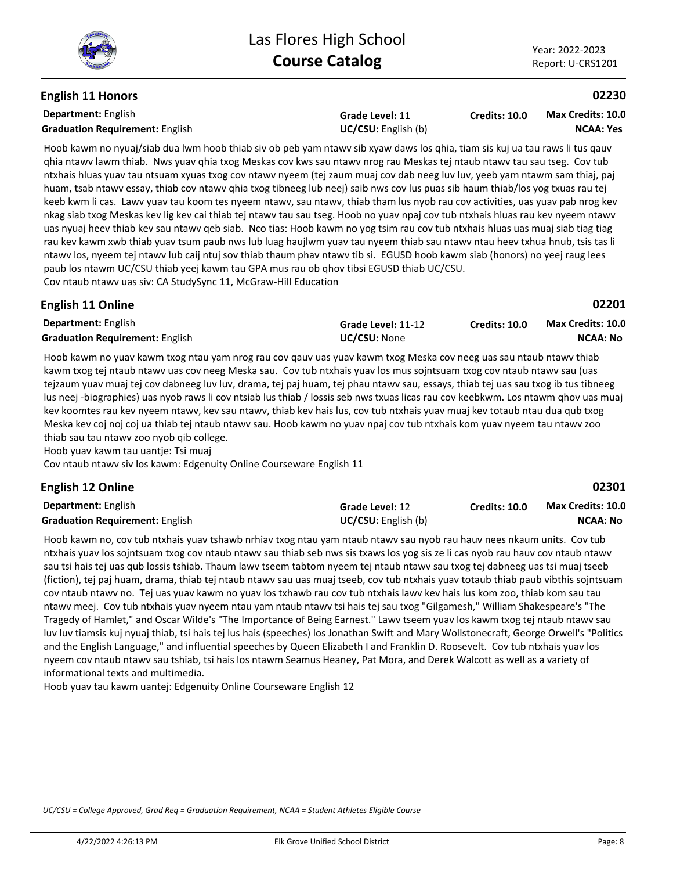## **English 11 Honors**

**Department:** English **Graduation Requirement:** English **UC/CSU:** English (b)

**Grade Level:** 11

**Credits: 10.0 NCAA: Yes Max Credits: 10.0**

Hoob kawm no nyuaj/siab dua lwm hoob thiab siv ob peb yam ntawv sib xyaw daws los qhia, tiam sis kuj ua tau raws li tus qauv qhia ntawv lawm thiab. Nws yuav qhia txog Meskas cov kws sau ntawv nrog rau Meskas tej ntaub ntawv tau sau tseg. Cov tub ntxhais hluas yuav tau ntsuam xyuas txog cov ntawv nyeem (tej zaum muaj cov dab neeg luv luv, yeeb yam ntawm sam thiaj, paj huam, tsab ntawv essay, thiab cov ntawv qhia txog tibneeg lub neej) saib nws cov lus puas sib haum thiab/los yog txuas rau tej keeb kwm li cas. Lawv yuav tau koom tes nyeem ntawv, sau ntawv, thiab tham lus nyob rau cov activities, uas yuav pab nrog kev nkag siab txog Meskas kev lig kev cai thiab tej ntawv tau sau tseg. Hoob no yuav npaj cov tub ntxhais hluas rau kev nyeem ntawv uas nyuaj heev thiab kev sau ntawv qeb siab. Nco tias: Hoob kawm no yog tsim rau cov tub ntxhais hluas uas muaj siab tiag tiag rau kev kawm xwb thiab yuav tsum paub nws lub luag haujlwm yuav tau nyeem thiab sau ntawv ntau heev txhua hnub, tsis tas li ntawv los, nyeem tej ntawv lub caij ntuj sov thiab thaum phav ntawv tib si. EGUSD hoob kawm siab (honors) no yeej raug lees paub los ntawm UC/CSU thiab yeej kawm tau GPA mus rau ob qhov tibsi EGUSD thiab UC/CSU. Cov ntaub ntawv uas siv: CA StudySync 11, McGraw-Hill Education

# **Department:** English **English 11 Online**

| 02201             |                      |                     |
|-------------------|----------------------|---------------------|
| Max Credits: 10.0 | <b>Credits: 10.0</b> | Grade Level: 11-12  |
| NCAA: No          |                      | <b>UC/CSU:</b> None |

Graduation Requirement: English **UC/CSU:** None

Hoob kawm no yuav kawm txog ntau yam nrog rau cov qauv uas yuav kawm txog Meska cov neeg uas sau ntaub ntawv thiab kawm txog tej ntaub ntawv uas cov neeg Meska sau. Cov tub ntxhais yuav los mus sojntsuam txog cov ntaub ntawv sau (uas tejzaum yuav muaj tej cov dabneeg luv luv, drama, tej paj huam, tej phau ntawv sau, essays, thiab tej uas sau txog ib tus tibneeg lus neej -biographies) uas nyob raws li cov ntsiab lus thiab / lossis seb nws txuas licas rau cov keebkwm. Los ntawm qhov uas muaj kev koomtes rau kev nyeem ntawv, kev sau ntawv, thiab kev hais lus, cov tub ntxhais yuav muaj kev totaub ntau dua qub txog Meska kev coj noj coj ua thiab tej ntaub ntawv sau. Hoob kawm no yuav npaj cov tub ntxhais kom yuav nyeem tau ntawv zoo thiab sau tau ntawv zoo nyob qib college.

Hoob yuav kawm tau uantje: Tsi muaj

Cov ntaub ntawv siv los kawm: Edgenuity Online Courseware English 11

# **English 12 Online**

| <b>Department: English</b>             | Grade Level: 12            | <b>Credits: 10.0</b> | <b>Max Credits: 10.0</b> |
|----------------------------------------|----------------------------|----------------------|--------------------------|
| <b>Graduation Requirement: English</b> | <b>UC/CSU:</b> English (b) |                      | <b>NCAA: No</b>          |

Hoob kawm no, cov tub ntxhais yuav tshawb nrhiav txog ntau yam ntaub ntawv sau nyob rau hauv nees nkaum units. Cov tub ntxhais yuav los sojntsuam txog cov ntaub ntawv sau thiab seb nws sis txaws los yog sis ze li cas nyob rau hauv cov ntaub ntawv sau tsi hais tej uas qub lossis tshiab. Thaum lawv tseem tabtom nyeem tej ntaub ntawv sau txog tej dabneeg uas tsi muaj tseeb (fiction), tej paj huam, drama, thiab tej ntaub ntawv sau uas muaj tseeb, cov tub ntxhais yuav totaub thiab paub vibthis sojntsuam cov ntaub ntawv no. Tej uas yuav kawm no yuav los txhawb rau cov tub ntxhais lawv kev hais lus kom zoo, thiab kom sau tau ntawv meej. Cov tub ntxhais yuav nyeem ntau yam ntaub ntawv tsi hais tej sau txog "Gilgamesh," William Shakespeare's "The Tragedy of Hamlet," and Oscar Wilde's "The Importance of Being Earnest." Lawv tseem yuav los kawm txog tej ntaub ntawv sau luv luv tiamsis kuj nyuaj thiab, tsi hais tej lus hais (speeches) los Jonathan Swift and Mary Wollstonecraft, George Orwell's "Politics and the English Language," and influential speeches by Queen Elizabeth I and Franklin D. Roosevelt. Cov tub ntxhais yuav los nyeem cov ntaub ntawv sau tshiab, tsi hais los ntawm Seamus Heaney, Pat Mora, and Derek Walcott as well as a variety of informational texts and multimedia.

Hoob yuav tau kawm uantej: Edgenuity Online Courseware English 12

*UC/CSU = College Approved, Grad Req = Graduation Requirement, NCAA = Student Athletes Eligible Course*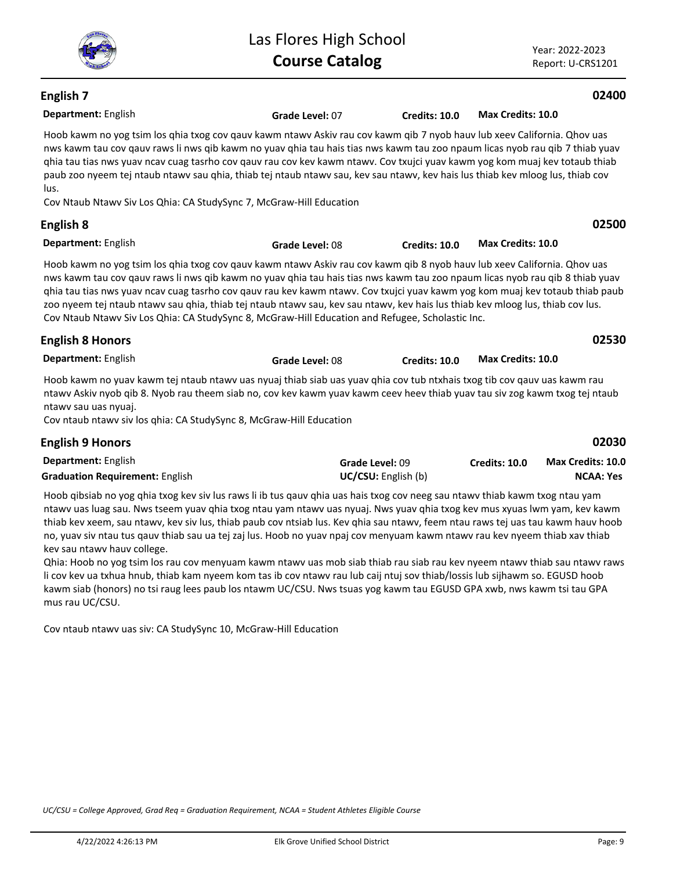**Grade Level:** 07 **Credits: 10.0 Max Credits: 10.0**

## **Department:** English **English 7**

Hoob kawm no yog tsim los qhia txog cov qauv kawm ntawv Askiv rau cov kawm qib 7 nyob hauv lub xeev California. Qhov uas nws kawm tau cov qauv raws li nws qib kawm no yuav qhia tau hais tias nws kawm tau zoo npaum licas nyob rau qib 7 thiab yuav qhia tau tias nws yuav ncav cuag tasrho cov qauv rau cov kev kawm ntawv. Cov txujci yuav kawm yog kom muaj kev totaub thiab paub zoo nyeem tej ntaub ntawv sau qhia, thiab tej ntaub ntawv sau, kev sau ntawv, kev hais lus thiab kev mloog lus, thiab cov lus.

Las Flores High School

Cov Ntaub Ntawv Siv Los Qhia: CA StudySync 7, McGraw-Hill Education

#### **Department:** English **English 8 Grade Level:** 08 **Credits: 10.0 Max Credits: 10.0**

Hoob kawm no yog tsim los qhia txog cov qauv kawm ntawv Askiv rau cov kawm qib 8 nyob hauv lub xeev California. Qhov uas nws kawm tau cov qauv raws li nws qib kawm no yuav qhia tau hais tias nws kawm tau zoo npaum licas nyob rau qib 8 thiab yuav qhia tau tias nws yuav ncav cuag tasrho cov qauv rau kev kawm ntawv. Cov txujci yuav kawm yog kom muaj kev totaub thiab paub zoo nyeem tej ntaub ntawv sau qhia, thiab tej ntaub ntawv sau, kev sau ntawv, kev hais lus thiab kev mloog lus, thiab cov lus. Cov Ntaub Ntawv Siv Los Qhia: CA StudySync 8, McGraw-Hill Education and Refugee, Scholastic Inc.

| <b>English 8 Honors</b>                                                                                                                                                                                                                                 |                 |               | 02530             |  |
|---------------------------------------------------------------------------------------------------------------------------------------------------------------------------------------------------------------------------------------------------------|-----------------|---------------|-------------------|--|
| <b>Department: English</b>                                                                                                                                                                                                                              | Grade Level: 08 | Credits: 10.0 | Max Credits: 10.0 |  |
| Hoob kawm no yuav kawm tej ntaub ntawy uas nyuaj thiab siab uas yuay ghia coy tub ntxhais txog tib coy gauy uas kawm rau<br>ntawy Askiy nyob qib 8. Nyob rau theem siab no, cov key kawm yuay kawm ceey heey thiab yuay tau siy zog kawm txog tej ntaub |                 |               |                   |  |
| ntawy sau uas nyuaj.                                                                                                                                                                                                                                    |                 |               |                   |  |
| Cov ntaub ntawy siv los ghia: CA StudySync 8, McGraw-Hill Education                                                                                                                                                                                     |                 |               |                   |  |

#### **Department:** English **02030 English 9 Honors Grade Level:** 09 **Graduation Requirement:** English **UC/CSU:** English (b) **Credits: 10.0 NCAA: Yes Max Credits: 10.0**

Hoob qibsiab no yog qhia txog kev siv lus raws li ib tus qauv qhia uas hais txog cov neeg sau ntawv thiab kawm txog ntau yam ntawv uas luag sau. Nws tseem yuav qhia txog ntau yam ntawv uas nyuaj. Nws yuav qhia txog kev mus xyuas lwm yam, kev kawm thiab kev xeem, sau ntawv, kev siv lus, thiab paub cov ntsiab lus. Kev qhia sau ntawv, feem ntau raws tej uas tau kawm hauv hoob no, yuav siv ntau tus qauv thiab sau ua tej zaj lus. Hoob no yuav npaj cov menyuam kawm ntawv rau kev nyeem thiab xav thiab kev sau ntawv hauv college.

Qhia: Hoob no yog tsim los rau cov menyuam kawm ntawv uas mob siab thiab rau siab rau kev nyeem ntawv thiab sau ntawv raws li cov kev ua txhua hnub, thiab kam nyeem kom tas ib cov ntawv rau lub caij ntuj sov thiab/lossis lub sijhawm so. EGUSD hoob kawm siab (honors) no tsi raug lees paub los ntawm UC/CSU. Nws tsuas yog kawm tau EGUSD GPA xwb, nws kawm tsi tau GPA mus rau UC/CSU.

Cov ntaub ntawv uas siv: CA StudySync 10, McGraw-Hill Education

*UC/CSU = College Approved, Grad Req = Graduation Requirement, NCAA = Student Athletes Eligible Course*



## **02400**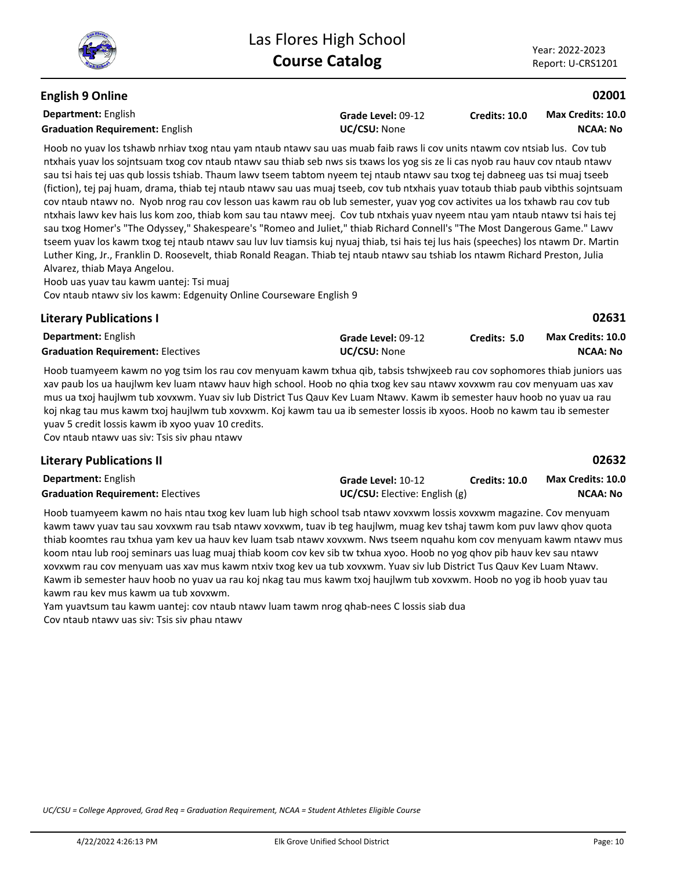## **English 9 Online**

**Department:** English **Graduation Requirement:** English **UC/CSU:** None

**Grade Level:** 09-12

**Credits: 10.0 NCAA: No Max Credits: 10.0**

Hoob no yuav los tshawb nrhiav txog ntau yam ntaub ntawv sau uas muab faib raws li cov units ntawm cov ntsiab lus. Cov tub ntxhais yuav los sojntsuam txog cov ntaub ntawv sau thiab seb nws sis txaws los yog sis ze li cas nyob rau hauv cov ntaub ntawv sau tsi hais tej uas qub lossis tshiab. Thaum lawv tseem tabtom nyeem tej ntaub ntawv sau txog tej dabneeg uas tsi muaj tseeb (fiction), tej paj huam, drama, thiab tej ntaub ntawv sau uas muaj tseeb, cov tub ntxhais yuav totaub thiab paub vibthis sojntsuam cov ntaub ntawv no. Nyob nrog rau cov lesson uas kawm rau ob lub semester, yuav yog cov activites ua los txhawb rau cov tub ntxhais lawv kev hais lus kom zoo, thiab kom sau tau ntawv meej. Cov tub ntxhais yuav nyeem ntau yam ntaub ntawv tsi hais tej sau txog Homer's "The Odyssey," Shakespeare's "Romeo and Juliet," thiab Richard Connell's "The Most Dangerous Game." Lawv tseem yuav los kawm txog tej ntaub ntawv sau luv luv tiamsis kuj nyuaj thiab, tsi hais tej lus hais (speeches) los ntawm Dr. Martin Luther King, Jr., Franklin D. Roosevelt, thiab Ronald Reagan. Thiab tej ntaub ntawv sau tshiab los ntawm Richard Preston, Julia Alvarez, thiab Maya Angelou.

Hoob uas yuav tau kawm uantej: Tsi muaj Cov ntaub ntawv siv los kawm: Edgenuity Online Courseware English 9

## **Literary Publications I**

| Department: English                      | Grade Level: 09-12  | Credits: 5.0 | <b>Max Credits: 10.0</b> |
|------------------------------------------|---------------------|--------------|--------------------------|
| <b>Graduation Requirement: Electives</b> | <b>UC/CSU: None</b> |              | <b>NCAA: No</b>          |

Hoob tuamyeem kawm no yog tsim los rau cov menyuam kawm txhua qib, tabsis tshwjxeeb rau cov sophomores thiab juniors uas xav paub los ua haujlwm kev luam ntawv hauv high school. Hoob no qhia txog kev sau ntawv xovxwm rau cov menyuam uas xav mus ua txoj haujlwm tub xovxwm. Yuav siv lub District Tus Qauv Kev Luam Ntawv. Kawm ib semester hauv hoob no yuav ua rau koj nkag tau mus kawm txoj haujlwm tub xovxwm. Koj kawm tau ua ib semester lossis ib xyoos. Hoob no kawm tau ib semester yuav 5 credit lossis kawm ib xyoo yuav 10 credits.

Cov ntaub ntawv uas siv: Tsis siv phau ntawv

## **Literary Publications II**

| <b>Department:</b> English               | Grade Level: 10-12                   | <b>Credits: 10.0</b> | <b>Max Credits: 10.0</b> |
|------------------------------------------|--------------------------------------|----------------------|--------------------------|
| <b>Graduation Requirement: Electives</b> | <b>UC/CSU:</b> Elective: English (g) |                      | <b>NCAA: No</b>          |

Hoob tuamyeem kawm no hais ntau txog kev luam lub high school tsab ntawv xovxwm lossis xovxwm magazine. Cov menyuam kawm tawv yuav tau sau xovxwm rau tsab ntawv xovxwm, tuav ib teg haujlwm, muag kev tshaj tawm kom puv lawv qhov quota thiab koomtes rau txhua yam kev ua hauv kev luam tsab ntawv xovxwm. Nws tseem nquahu kom cov menyuam kawm ntawv mus koom ntau lub rooj seminars uas luag muaj thiab koom cov kev sib tw txhua xyoo. Hoob no yog qhov pib hauv kev sau ntawv xovxwm rau cov menyuam uas xav mus kawm ntxiv txog kev ua tub xovxwm. Yuav siv lub District Tus Qauv Kev Luam Ntawv. Kawm ib semester hauv hoob no yuav ua rau koj nkag tau mus kawm txoj haujlwm tub xovxwm. Hoob no yog ib hoob yuav tau kawm rau kev mus kawm ua tub xovxwm.

Yam yuavtsum tau kawm uantej: cov ntaub ntawv luam tawm nrog qhab-nees C lossis siab dua Cov ntaub ntawv uas siv: Tsis siv phau ntawv

*UC/CSU = College Approved, Grad Req = Graduation Requirement, NCAA = Student Athletes Eligible Course*

**02632**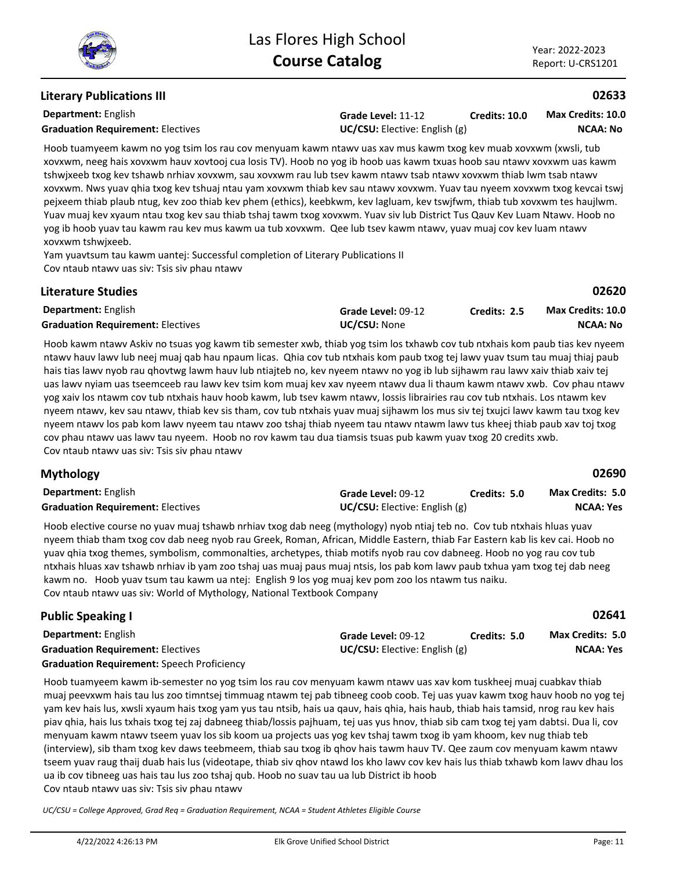## **Literary Publications III**

**Department:** English

**Grade Level:** 11-12 **Graduation Requirement:** Electives **UC/CSU:** Elective: English (g) **Credits: 10.0**

**NCAA: No Max Credits: 10.0**

**02633**

Hoob tuamyeem kawm no yog tsim los rau cov menyuam kawm ntawv uas xav mus kawm txog kev muab xovxwm (xwsli, tub xovxwm, neeg hais xovxwm hauv xovtooj cua losis TV). Hoob no yog ib hoob uas kawm txuas hoob sau ntawv xovxwm uas kawm tshwjxeeb txog kev tshawb nrhiav xovxwm, sau xovxwm rau lub tsev kawm ntawv tsab ntawv xovxwm thiab lwm tsab ntawv xovxwm. Nws yuav qhia txog kev tshuaj ntau yam xovxwm thiab kev sau ntawv xovxwm. Yuav tau nyeem xovxwm txog kevcai tswj pejxeem thiab plaub ntug, kev zoo thiab kev phem (ethics), keebkwm, kev lagluam, kev tswjfwm, thiab tub xovxwm tes haujlwm. Yuav muaj kev xyaum ntau txog kev sau thiab tshaj tawm txog xovxwm. Yuav siv lub District Tus Qauv Kev Luam Ntawv. Hoob no yog ib hoob yuav tau kawm rau kev mus kawm ua tub xovxwm. Qee lub tsev kawm ntawv, yuav muaj cov kev luam ntawv xovxwm tshwjxeeb.

Yam yuavtsum tau kawm uantej: Successful completion of Literary Publications II Cov ntaub ntawv uas siv: Tsis siv phau ntawv

| <b>Literature Studies</b>                |                     |              | 02620                    |
|------------------------------------------|---------------------|--------------|--------------------------|
| <b>Department:</b> English               | Grade Level: 09-12  | Credits: 2.5 | <b>Max Credits: 10.0</b> |
| <b>Graduation Requirement: Electives</b> | <b>UC/CSU: None</b> |              | NCAA: No                 |

Hoob kawm ntawv Askiv no tsuas yog kawm tib semester xwb, thiab yog tsim los txhawb cov tub ntxhais kom paub tias kev nyeem ntawv hauv lawv lub neej muaj qab hau npaum licas. Qhia cov tub ntxhais kom paub txog tej lawv yuav tsum tau muaj thiaj paub hais tias lawv nyob rau qhovtwg lawm hauv lub ntiajteb no, kev nyeem ntawv no yog ib lub sijhawm rau lawv xaiv thiab xaiv tej uas lawv nyiam uas tseemceeb rau lawv kev tsim kom muaj kev xav nyeem ntawv dua li thaum kawm ntawv xwb. Cov phau ntawv yog xaiv los ntawm cov tub ntxhais hauv hoob kawm, lub tsev kawm ntawv, lossis librairies rau cov tub ntxhais. Los ntawm kev nyeem ntawv, kev sau ntawv, thiab kev sis tham, cov tub ntxhais yuav muaj sijhawm los mus siv tej txujci lawv kawm tau txog kev nyeem ntawv los pab kom lawv nyeem tau ntawv zoo tshaj thiab nyeem tau ntawv ntawm lawv tus kheej thiab paub xav toj txog cov phau ntawv uas lawv tau nyeem. Hoob no rov kawm tau dua tiamsis tsuas pub kawm yuav txog 20 credits xwb. Cov ntaub ntawv uas siv: Tsis siv phau ntawv

#### **Department:** English **02690 Mythology Grade Level:** 09-12 **Graduation Requirement:** Electives **Constanting Constanting Constanting Constanting Constanting Constanting Constanting Constanting Constanting Constanting Constanting Constanting Constanting Constanting Constanting Const Credits: 5.0 NCAA: Yes Max Credits: 5.0**

Hoob elective course no yuav muaj tshawb nrhiav txog dab neeg (mythology) nyob ntiaj teb no. Cov tub ntxhais hluas yuav nyeem thiab tham txog cov dab neeg nyob rau Greek, Roman, African, Middle Eastern, thiab Far Eastern kab lis kev cai. Hoob no yuav qhia txog themes, symbolism, commonalties, archetypes, thiab motifs nyob rau cov dabneeg. Hoob no yog rau cov tub ntxhais hluas xav tshawb nrhiav ib yam zoo tshaj uas muaj paus muaj ntsis, los pab kom lawv paub txhua yam txog tej dab neeg kawm no. Hoob yuav tsum tau kawm ua ntej: English 9 los yog muaj kev pom zoo los ntawm tus naiku. Cov ntaub ntawv uas siv: World of Mythology, National Textbook Company

| <b>Public Speaking I</b>                          |                                        |              | 02641                   |
|---------------------------------------------------|----------------------------------------|--------------|-------------------------|
| <b>Department:</b> English                        | Grade Level: 09-12                     | Credits: 5.0 | <b>Max Credits: 5.0</b> |
| <b>Graduation Requirement: Electives</b>          | <b>UC/CSU:</b> Elective: English $(g)$ |              | <b>NCAA: Yes</b>        |
| <b>Graduation Requirement:</b> Speech Proficiency |                                        |              |                         |

Hoob tuamyeem kawm ib-semester no yog tsim los rau cov menyuam kawm ntawv uas xav kom tuskheej muaj cuabkav thiab muaj peevxwm hais tau lus zoo timntsej timmuag ntawm tej pab tibneeg coob coob. Tej uas yuav kawm txog hauv hoob no yog tej yam kev hais lus, xwsli xyaum hais txog yam yus tau ntsib, hais ua qauv, hais qhia, hais haub, thiab hais tamsid, nrog rau kev hais piav qhia, hais lus txhais txog tej zaj dabneeg thiab/lossis pajhuam, tej uas yus hnov, thiab sib cam txog tej yam dabtsi. Dua li, cov menyuam kawm ntawv tseem yuav los sib koom ua projects uas yog kev tshaj tawm txog ib yam khoom, kev nug thiab teb (interview), sib tham txog kev daws teebmeem, thiab sau txog ib qhov hais tawm hauv TV. Qee zaum cov menyuam kawm ntawv tseem yuav raug thaij duab hais lus (videotape, thiab siv qhov ntawd los kho lawv cov kev hais lus thiab txhawb kom lawv dhau los ua ib cov tibneeg uas hais tau lus zoo tshaj qub. Hoob no suav tau ua lub District ib hoob Cov ntaub ntawv uas siv: Tsis siv phau ntawv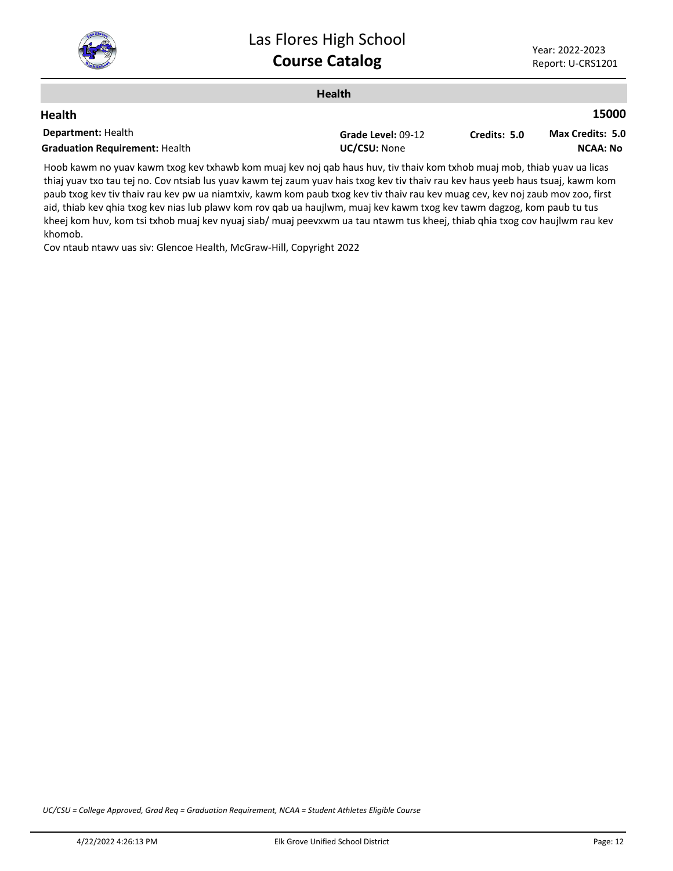

|                                       | <b>Health</b>      |              |                         |
|---------------------------------------|--------------------|--------------|-------------------------|
| <b>Health</b>                         |                    |              | 15000                   |
| <b>Department: Health</b>             | Grade Level: 09-12 | Credits: 5.0 | <b>Max Credits: 5.0</b> |
| <b>Graduation Requirement: Health</b> | UC/CSU: None       |              | <b>NCAA: No</b>         |
| .<br>.                                | .                  |              |                         |

Hoob kawm no yuav kawm txog kev txhawb kom muaj kev noj qab haus huv, tiv thaiv kom txhob muaj mob, thiab yuav ua licas thiaj yuav txo tau tej no. Cov ntsiab lus yuav kawm tej zaum yuav hais txog kev tiv thaiv rau kev haus yeeb haus tsuaj, kawm kom paub txog kev tiv thaiv rau kev pw ua niamtxiv, kawm kom paub txog kev tiv thaiv rau kev muag cev, kev noj zaub mov zoo, first aid, thiab kev qhia txog kev nias lub plawv kom rov qab ua haujlwm, muaj kev kawm txog kev tawm dagzog, kom paub tu tus kheej kom huv, kom tsi txhob muaj kev nyuaj siab/ muaj peevxwm ua tau ntawm tus kheej, thiab qhia txog cov haujlwm rau kev khomob.

Cov ntaub ntawv uas siv: Glencoe Health, McGraw-Hill, Copyright 2022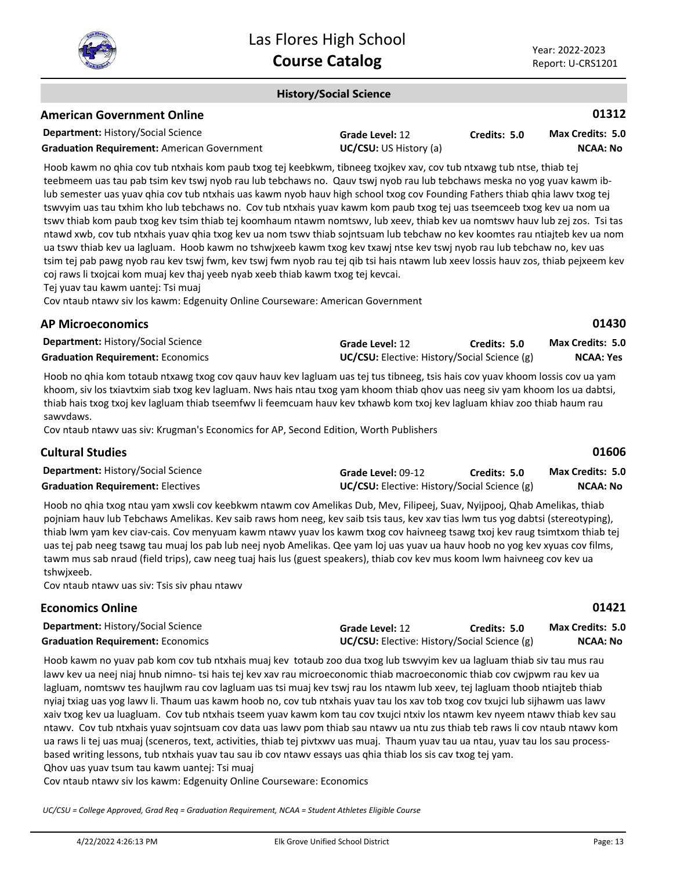

**01430**

**01606**

**01421**

#### **History/Social Science**

## **American Government Online**

| <b>Department: History/Social Science</b>          | Grade Level: 12               | Credits: 5.0 | Max Credits: 5.0 |
|----------------------------------------------------|-------------------------------|--------------|------------------|
| <b>Graduation Requirement: American Government</b> | <b>UC/CSU:</b> US History (a) |              | <b>NCAA: No</b>  |

Hoob kawm no qhia cov tub ntxhais kom paub txog tej keebkwm, tibneeg txojkev xav, cov tub ntxawg tub ntse, thiab tej teebmeem uas tau pab tsim kev tswj nyob rau lub tebchaws no. Qauv tswj nyob rau lub tebchaws meska no yog yuav kawm iblub semester uas yuav qhia cov tub ntxhais uas kawm nyob hauv high school txog cov Founding Fathers thiab qhia lawv txog tej tswvyim uas tau txhim kho lub tebchaws no. Cov tub ntxhais yuav kawm kom paub txog tej uas tseemceeb txog kev ua nom ua tswv thiab kom paub txog kev tsim thiab tej koomhaum ntawm nomtswv, lub xeev, thiab kev ua nomtswv hauv lub zej zos. Tsi tas ntawd xwb, cov tub ntxhais yuav qhia txog kev ua nom tswv thiab sojntsuam lub tebchaw no kev koomtes rau ntiajteb kev ua nom ua tswv thiab kev ua lagluam. Hoob kawm no tshwjxeeb kawm txog kev txawj ntse kev tswj nyob rau lub tebchaw no, kev uas tsim tej pab pawg nyob rau kev tswj fwm, kev tswj fwm nyob rau tej qib tsi hais ntawm lub xeev lossis hauv zos, thiab pejxeem kev coj raws li txojcai kom muaj kev thaj yeeb nyab xeeb thiab kawm txog tej kevcai.

Tej yuav tau kawm uantej: Tsi muaj

Cov ntaub ntawv siv los kawm: Edgenuity Online Courseware: American Government

#### **AP Microeconomics**

| <b>Department: History/Social Science</b> | Grade Level: 12                                     | Credits: 5.0 | <b>Max Credits: 5.0</b> |
|-------------------------------------------|-----------------------------------------------------|--------------|-------------------------|
| <b>Graduation Requirement: Economics</b>  | <b>UC/CSU:</b> Elective: History/Social Science (g) |              | <b>NCAA: Yes</b>        |

Hoob no qhia kom totaub ntxawg txog cov qauv hauv kev lagluam uas tej tus tibneeg, tsis hais cov yuav khoom lossis cov ua yam khoom, siv los txiavtxim siab txog kev lagluam. Nws hais ntau txog yam khoom thiab qhov uas neeg siv yam khoom los ua dabtsi, thiab hais txog txoj kev lagluam thiab tseemfwv li feemcuam hauv kev txhawb kom txoj kev lagluam khiav zoo thiab haum rau sawvdaws.

Cov ntaub ntawv uas siv: Krugman's Economics for AP, Second Edition, Worth Publishers

#### **Cultural Studies**

| <b>Department: History/Social Science</b> | Grade Level: 09-12                                  | Credits: 5.0 | <b>Max Credits: 5.0</b> |
|-------------------------------------------|-----------------------------------------------------|--------------|-------------------------|
| <b>Graduation Requirement: Electives</b>  | <b>UC/CSU:</b> Elective: History/Social Science (g) |              | NCAA: No                |

Hoob no qhia txog ntau yam xwsli cov keebkwm ntawm cov Amelikas Dub, Mev, Filipeej, Suav, Nyijpooj, Qhab Amelikas, thiab pojniam hauv lub Tebchaws Amelikas. Kev saib raws hom neeg, kev saib tsis taus, kev xav tias lwm tus yog dabtsi (stereotyping), thiab lwm yam kev ciav-cais. Cov menyuam kawm ntawv yuav los kawm txog cov haivneeg tsawg txoj kev raug tsimtxom thiab tej uas tej pab neeg tsawg tau muaj los pab lub neej nyob Amelikas. Qee yam loj uas yuav ua hauv hoob no yog kev xyuas cov films, tawm mus sab nraud (field trips), caw neeg tuaj hais lus (guest speakers), thiab cov kev mus koom lwm haivneeg cov kev ua tshwjxeeb.

Cov ntaub ntawv uas siv: Tsis siv phau ntawv

## **Economics Online**

| <b>Department: History/Social Science</b> | Grade Level: 12                                     | Credits: 5.0 | Max Credits: 5.0 |
|-------------------------------------------|-----------------------------------------------------|--------------|------------------|
| <b>Graduation Requirement: Economics</b>  | <b>UC/CSU:</b> Elective: History/Social Science (g) |              | <b>NCAA: No</b>  |

Hoob kawm no yuav pab kom cov tub ntxhais muaj kev totaub zoo dua txog lub tswvyim kev ua lagluam thiab siv tau mus rau lawv kev ua neej niaj hnub nimno- tsi hais tej kev xav rau microeconomic thiab macroeconomic thiab cov cwjpwm rau kev ua lagluam, nomtswv tes haujlwm rau cov lagluam uas tsi muaj kev tswj rau los ntawm lub xeev, tej lagluam thoob ntiajteb thiab nyiaj txiag uas yog lawv li. Thaum uas kawm hoob no, cov tub ntxhais yuav tau los xav tob txog cov txujci lub sijhawm uas lawv xaiv txog kev ua luagluam. Cov tub ntxhais tseem yuav kawm kom tau cov txujci ntxiv los ntawm kev nyeem ntawv thiab kev sau ntawv. Cov tub ntxhais yuav sojntsuam cov data uas lawv pom thiab sau ntawv ua ntu zus thiab teb raws li cov ntaub ntawv kom ua raws li tej uas muaj (sceneros, text, activities, thiab tej pivtxwv uas muaj. Thaum yuav tau ua ntau, yuav tau los sau processbased writing lessons, tub ntxhais yuav tau sau ib cov ntawv essays uas qhia thiab los sis cav txog tej yam.

Qhov uas yuav tsum tau kawm uantej: Tsi muaj

Cov ntaub ntawv siv los kawm: Edgenuity Online Courseware: Economics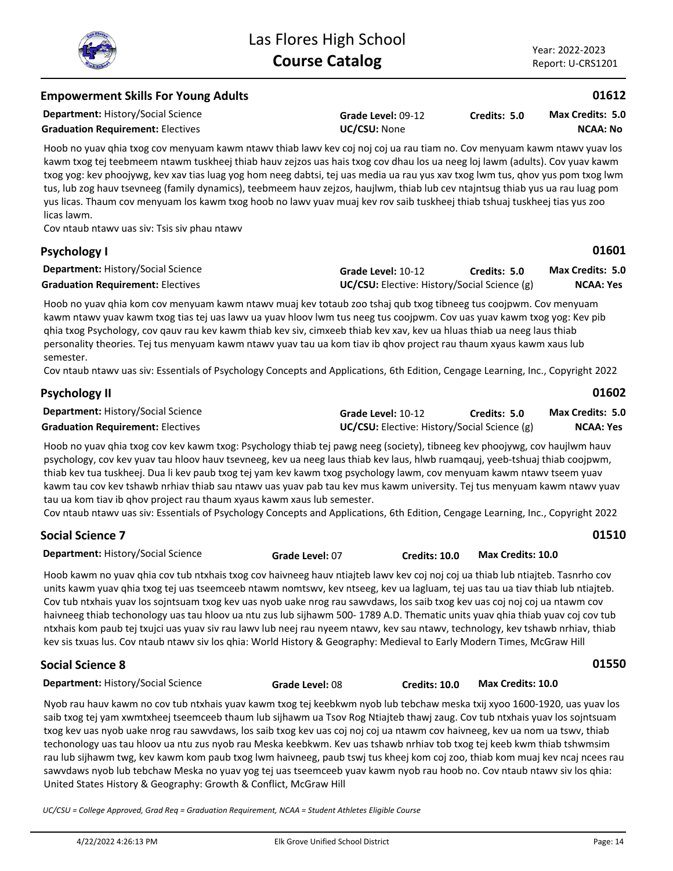| <b>Empowerment Skills For Young Adults</b>                                                                                                                                                                                                                                                                                                                                                                                                                                                                                                                                                                                                                                                                                |                                                                    |              | 01612                                      |
|---------------------------------------------------------------------------------------------------------------------------------------------------------------------------------------------------------------------------------------------------------------------------------------------------------------------------------------------------------------------------------------------------------------------------------------------------------------------------------------------------------------------------------------------------------------------------------------------------------------------------------------------------------------------------------------------------------------------------|--------------------------------------------------------------------|--------------|--------------------------------------------|
| <b>Department: History/Social Science</b><br><b>Graduation Requirement: Electives</b>                                                                                                                                                                                                                                                                                                                                                                                                                                                                                                                                                                                                                                     | Grade Level: 09-12<br>UC/CSU: None                                 | Credits: 5.0 | <b>Max Credits: 5.0</b><br><b>NCAA: No</b> |
| Hoob no yuav qhia txog cov menyuam kawm ntawv thiab lawv kev coj noj coj ua rau tiam no. Cov menyuam kawm ntawv yuav los<br>kawm txog tej teebmeem ntawm tuskheej thiab hauv zejzos uas hais txog cov dhau los ua neeg loj lawm (adults). Cov yuav kawm<br>txog yog: kev phoojywg, kev xav tias luag yog hom neeg dabtsi, tej uas media ua rau yus xav txog lwm tus, qhov yus pom txog lwm<br>tus, lub zog hauv tsevneeg (family dynamics), teebmeem hauv zejzos, haujlwm, thiab lub cev ntajntsug thiab yus ua rau luag pom<br>yus licas. Thaum cov menyuam los kawm txog hoob no lawv yuav muaj kev rov saib tuskheej thiab tshuaj tuskheej tias yus zoo<br>licas lawm.<br>Cov ntaub ntawy uas siv: Tsis siv phau ntawy |                                                                    |              |                                            |
| <b>Psychology I</b>                                                                                                                                                                                                                                                                                                                                                                                                                                                                                                                                                                                                                                                                                                       |                                                                    |              | 01601                                      |
| <b>Department: History/Social Science</b><br><b>Graduation Requirement: Electives</b>                                                                                                                                                                                                                                                                                                                                                                                                                                                                                                                                                                                                                                     | Grade Level: 10-12<br>UC/CSU: Elective: History/Social Science (g) | Credits: 5.0 | Max Credits: 5.0<br><b>NCAA: Yes</b>       |
| Hoob no yuav qhia kom cov menyuam kawm ntawv muaj kev totaub zoo tshaj qub txog tibneeg tus coojpwm. Cov menyuam<br>kawm ntawy yuay kawm txog tias tej uas lawy ua yuay hloov lwm tus neeg tus coojpwm. Cov uas yuay kawm txog yog: Key pib<br>ghia txog Psychology, cov qauv rau kev kawm thiab kev siv, cimxeeb thiab kev xav, kev ua hluas thiab ua neeg laus thiab<br>personality theories. Tej tus menyuam kawm ntawv yuav tau ua kom tiav ib qhov project rau thaum xyaus kawm xaus lub<br>semester.<br>Cov ntaub ntawv uas siv: Essentials of Psychology Concepts and Applications, 6th Edition, Cengage Learning, Inc., Copyright 2022                                                                            |                                                                    |              |                                            |
| <b>Psychology II</b>                                                                                                                                                                                                                                                                                                                                                                                                                                                                                                                                                                                                                                                                                                      |                                                                    |              | 01602                                      |

| - - - - - - - -                           |                                                     |              |                         |
|-------------------------------------------|-----------------------------------------------------|--------------|-------------------------|
| <b>Department: History/Social Science</b> | Grade Level: 10-12                                  | Credits: 5.0 | <b>Max Credits: 5.0</b> |
| <b>Graduation Requirement: Electives</b>  | <b>UC/CSU:</b> Elective: History/Social Science (g) |              | NCAA: Yes               |

Hoob no yuav qhia txog cov kev kawm txog: Psychology thiab tej pawg neeg (society), tibneeg kev phoojywg, cov haujlwm hauv psychology, cov kev yuav tau hloov hauv tsevneeg, kev ua neeg laus thiab kev laus, hlwb ruamqauj, yeeb-tshuaj thiab coojpwm, thiab kev tua tuskheej. Dua li kev paub txog tej yam kev kawm txog psychology lawm, cov menyuam kawm ntawv tseem yuav kawm tau cov kev tshawb nrhiav thiab sau ntawv uas yuav pab tau kev mus kawm university. Tej tus menyuam kawm ntawv yuav tau ua kom tiav ib qhov project rau thaum xyaus kawm xaus lub semester.

Cov ntaub ntawv uas siv: Essentials of Psychology Concepts and Applications, 6th Edition, Cengage Learning, Inc., Copyright 2022

| <b>Social Science 7</b>                   |                 |                      |                   | 01510 |
|-------------------------------------------|-----------------|----------------------|-------------------|-------|
| <b>Department: History/Social Science</b> | Grade Level: 07 | <b>Credits: 10.0</b> | Max Credits: 10.0 |       |

Hoob kawm no yuav qhia cov tub ntxhais txog cov haivneeg hauv ntiajteb lawv kev coj noj coj ua thiab lub ntiajteb. Tasnrho cov units kawm yuav qhia txog tej uas tseemceeb ntawm nomtswv, kev ntseeg, kev ua lagluam, tej uas tau ua tiav thiab lub ntiajteb. Cov tub ntxhais yuav los sojntsuam txog kev uas nyob uake nrog rau sawvdaws, los saib txog kev uas coj noj coj ua ntawm cov haivneeg thiab techonology uas tau hloov ua ntu zus lub sijhawm 500- 1789 A.D. Thematic units yuav qhia thiab yuav coj cov tub ntxhais kom paub tej txujci uas yuav siv rau lawv lub neej rau nyeem ntawv, kev sau ntawv, technology, kev tshawb nrhiav, thiab kev sis txuas lus. Cov ntaub ntawv siv los qhia: World History & Geography: Medieval to Early Modern Times, McGraw Hill

# **Social Science 8**

**Department:** History/Social Science

**Grade Level:** 08 **Credits: 10.0 Max Credits: 10.0**

Nyob rau hauv kawm no cov tub ntxhais yuav kawm txog tej keebkwm nyob lub tebchaw meska txij xyoo 1600-1920, uas yuav los saib txog tej yam xwmtxheej tseemceeb thaum lub sijhawm ua Tsov Rog Ntiajteb thawj zaug. Cov tub ntxhais yuav los sojntsuam txog kev uas nyob uake nrog rau sawvdaws, los saib txog kev uas coj noj coj ua ntawm cov haivneeg, kev ua nom ua tswv, thiab techonology uas tau hloov ua ntu zus nyob rau Meska keebkwm. Kev uas tshawb nrhiav tob txog tej keeb kwm thiab tshwmsim rau lub sijhawm twg, kev kawm kom paub txog lwm haivneeg, paub tswj tus kheej kom coj zoo, thiab kom muaj kev ncaj ncees rau sawvdaws nyob lub tebchaw Meska no yuav yog tej uas tseemceeb yuav kawm nyob rau hoob no. Cov ntaub ntawv siv los qhia: United States History & Geography: Growth & Conflict, McGraw Hill

*UC/CSU = College Approved, Grad Req = Graduation Requirement, NCAA = Student Athletes Eligible Course*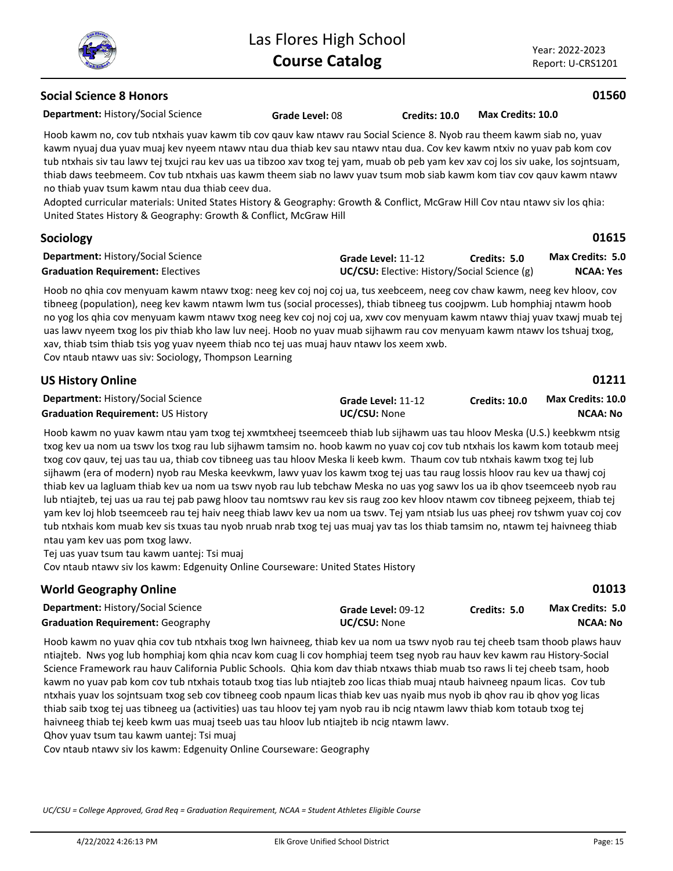**Social Science 8 Honors**

Year: 2022-2023 Report: U-CRS1201

**01560**

**NCAA: No**

**01013**

| <b>Department: History/Social Science</b>                                                                                                                                                                                                                                                                                                                                                                                                                                                                                                                                                                                                                                                                                                                                  | Grade Level: 08 | Credits: 10.0                                | Max Credits: 10.0 |                  |
|----------------------------------------------------------------------------------------------------------------------------------------------------------------------------------------------------------------------------------------------------------------------------------------------------------------------------------------------------------------------------------------------------------------------------------------------------------------------------------------------------------------------------------------------------------------------------------------------------------------------------------------------------------------------------------------------------------------------------------------------------------------------------|-----------------|----------------------------------------------|-------------------|------------------|
| Hoob kawm no, cov tub ntxhais yuav kawm tib cov gauv kaw ntawy rau Social Science 8. Nyob rau theem kawm siab no, yuav<br>kawm nyuaj dua yuav muaj kev nyeem ntawv ntau dua thiab kev sau ntawv ntau dua. Cov kev kawm ntxiv no yuav pab kom cov<br>tub ntxhais siv tau lawv tej txujci rau kev uas ua tibzoo xav txog tej yam, muab ob peb yam kev xav coj los siv uake, los sojntsuam,<br>thiab daws teebmeem. Cov tub ntxhais uas kawm theem siab no lawv yuav tsum mob siab kawm kom tiav cov qauv kawm ntawv<br>no thiab yuay tsum kawm ntau dua thiab ceey dua.<br>Adopted curricular materials: United States History & Geography: Growth & Conflict, McGraw Hill Cov ntau ntawy siv los qhia:<br>United States History & Geography: Growth & Conflict, McGraw Hill |                 |                                              |                   |                  |
| <b>Sociology</b>                                                                                                                                                                                                                                                                                                                                                                                                                                                                                                                                                                                                                                                                                                                                                           |                 |                                              |                   | 01615            |
| <b>Department: History/Social Science</b>                                                                                                                                                                                                                                                                                                                                                                                                                                                                                                                                                                                                                                                                                                                                  |                 | Grade Level: 11-12                           | Credits: 5.0      | Max Credits: 5.0 |
| <b>Graduation Requirement: Electives</b>                                                                                                                                                                                                                                                                                                                                                                                                                                                                                                                                                                                                                                                                                                                                   |                 | UC/CSU: Elective: History/Social Science (g) |                   | <b>NCAA: Yes</b> |
| Hoob no ghia cov menyuam kawm ntawv txog: neeg kev coj noj coj ua, tus xeebceem, neeg cov chaw kawm, neeg kev hloov, cov<br>tibneeg (population), neeg kev kawm ntawm lwm tus (social processes), thiab tibneeg tus coojpwm. Lub homphiaj ntawm hoob<br>no yog los qhia cov menyuam kawm ntawv txog neeg kev coj noj coj ua, xwv cov menyuam kawm ntawv thiaj yuav txawj muab tej<br>uas lawv nyeem txog los piv thiab kho law luv neej. Hoob no yuav muab sijhawm rau cov menyuam kawm ntawv los tshuaj txog,                                                                                                                                                                                                                                                             |                 |                                              |                   |                  |

xav, thiab tsim thiab tsis yog yuav nyeem thiab nco tej uas muaj hauv ntawv los xeem xwb.

Cov ntaub ntawv uas siv: Sociology, Thompson Learning

| <b>US History Online</b> |  |
|--------------------------|--|
|--------------------------|--|

**01211 Credits: 10.0 Max Credits: 10.0**

**Department:** History/Social Science **Graduation Requirement:** US History **UC/CSU:** None

Hoob kawm no yuav kawm ntau yam txog tej xwmtxheej tseemceeb thiab lub sijhawm uas tau hloov Meska (U.S.) keebkwm ntsig txog kev ua nom ua tswv los txog rau lub sijhawm tamsim no. hoob kawm no yuav coj cov tub ntxhais los kawm kom totaub meej txog cov qauv, tej uas tau ua, thiab cov tibneeg uas tau hloov Meska li keeb kwm. Thaum cov tub ntxhais kawm txog tej lub sijhawm (era of modern) nyob rau Meska keevkwm, lawv yuav los kawm txog tej uas tau raug lossis hloov rau kev ua thawj coj thiab kev ua lagluam thiab kev ua nom ua tswv nyob rau lub tebchaw Meska no uas yog sawv los ua ib qhov tseemceeb nyob rau lub ntiajteb, tej uas ua rau tej pab pawg hloov tau nomtswv rau kev sis raug zoo kev hloov ntawm cov tibneeg pejxeem, thiab tej yam kev loj hlob tseemceeb rau tej haiv neeg thiab lawv kev ua nom ua tswv. Tej yam ntsiab lus uas pheej rov tshwm yuav coj cov tub ntxhais kom muab kev sis txuas tau nyob nruab nrab txog tej uas muaj yav tas los thiab tamsim no, ntawm tej haivneeg thiab ntau yam kev uas pom txog lawv.

**Grade Level:** 11-12

Tej uas yuav tsum tau kawm uantej: Tsi muaj

Cov ntaub ntawv siv los kawm: Edgenuity Online Courseware: United States History

#### **World Geography Online**

| <b>Department: History/Social Science</b> | Grade Level: 09-12  | Credits: 5.0 | <b>Max Credits: 5.0</b> |
|-------------------------------------------|---------------------|--------------|-------------------------|
| <b>Graduation Requirement: Geography</b>  | <b>UC/CSU:</b> None |              | NCAA: No                |

Hoob kawm no yuav qhia cov tub ntxhais txog lwn haivneeg, thiab kev ua nom ua tswv nyob rau tej cheeb tsam thoob plaws hauv ntiajteb. Nws yog lub homphiaj kom qhia ncav kom cuag li cov homphiaj teem tseg nyob rau hauv kev kawm rau History-Social Science Framework rau hauv California Public Schools. Qhia kom dav thiab ntxaws thiab muab tso raws li tej cheeb tsam, hoob kawm no yuav pab kom cov tub ntxhais totaub txog tias lub ntiajteb zoo licas thiab muaj ntaub haivneeg npaum licas. Cov tub ntxhais yuav los sojntsuam txog seb cov tibneeg coob npaum licas thiab kev uas nyaib mus nyob ib qhov rau ib qhov yog licas thiab saib txog tej uas tibneeg ua (activities) uas tau hloov tej yam nyob rau ib ncig ntawm lawv thiab kom totaub txog tej haivneeg thiab tej keeb kwm uas muaj tseeb uas tau hloov lub ntiajteb ib ncig ntawm lawv. Qhov yuav tsum tau kawm uantej: Tsi muaj

Cov ntaub ntawv siv los kawm: Edgenuity Online Courseware: Geography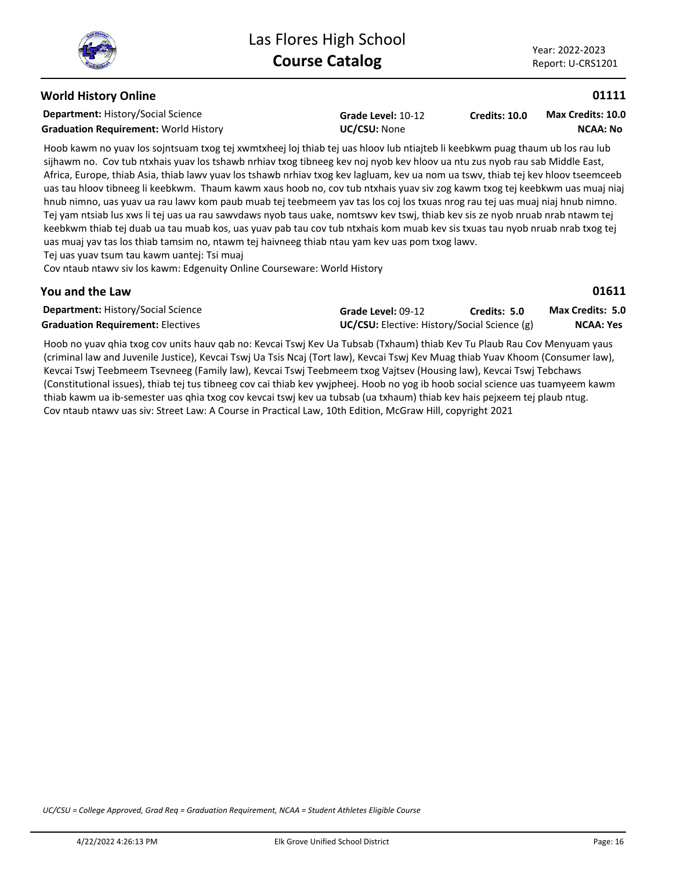## **World History Online**

**Department:** History/Social Science

**Graduation Requirement:** World History **UC/CSU:** None

**Grade Level:** 10-12

**Credits: 10.0 NCAA: No Max Credits: 10.0**

Hoob kawm no yuav los sojntsuam txog tej xwmtxheej loj thiab tej uas hloov lub ntiajteb li keebkwm puag thaum ub los rau lub sijhawm no. Cov tub ntxhais yuav los tshawb nrhiav txog tibneeg kev noj nyob kev hloov ua ntu zus nyob rau sab Middle East, Africa, Europe, thiab Asia, thiab lawv yuav los tshawb nrhiav txog kev lagluam, kev ua nom ua tswv, thiab tej kev hloov tseemceeb uas tau hloov tibneeg li keebkwm. Thaum kawm xaus hoob no, cov tub ntxhais yuav siv zog kawm txog tej keebkwm uas muaj niaj hnub nimno, uas yuav ua rau lawv kom paub muab tej teebmeem yav tas los coj los txuas nrog rau tej uas muaj niaj hnub nimno. Tej yam ntsiab lus xws li tej uas ua rau sawvdaws nyob taus uake, nomtswv kev tswj, thiab kev sis ze nyob nruab nrab ntawm tej keebkwm thiab tej duab ua tau muab kos, uas yuav pab tau cov tub ntxhais kom muab kev sis txuas tau nyob nruab nrab txog tej uas muaj yav tas los thiab tamsim no, ntawm tej haivneeg thiab ntau yam kev uas pom txog lawv.

Tej uas yuav tsum tau kawm uantej: Tsi muaj

Cov ntaub ntawv siv los kawm: Edgenuity Online Courseware: World History

#### **You and the Law**

| <b>Department: History/Social Science</b> | Grade Level: 09-12                                  | Credits: 5.0 | <b>Max Credits: 5.0</b> |
|-------------------------------------------|-----------------------------------------------------|--------------|-------------------------|
| <b>Graduation Requirement: Electives</b>  | <b>UC/CSU:</b> Elective: History/Social Science (g) |              | <b>NCAA: Yes</b>        |

Hoob no yuav qhia txog cov units hauv qab no: Kevcai Tswj Kev Ua Tubsab (Txhaum) thiab Kev Tu Plaub Rau Cov Menyuam yaus (criminal law and Juvenile Justice), Kevcai Tswj Ua Tsis Ncaj (Tort law), Kevcai Tswj Kev Muag thiab Yuav Khoom (Consumer law), Kevcai Tswj Teebmeem Tsevneeg (Family law), Kevcai Tswj Teebmeem txog Vajtsev (Housing law), Kevcai Tswj Tebchaws (Constitutional issues), thiab tej tus tibneeg cov cai thiab kev ywjpheej. Hoob no yog ib hoob social science uas tuamyeem kawm thiab kawm ua ib-semester uas qhia txog cov kevcai tswj kev ua tubsab (ua txhaum) thiab kev hais pejxeem tej plaub ntug. Cov ntaub ntawv uas siv: Street Law: A Course in Practical Law, 10th Edition, McGraw Hill, copyright 2021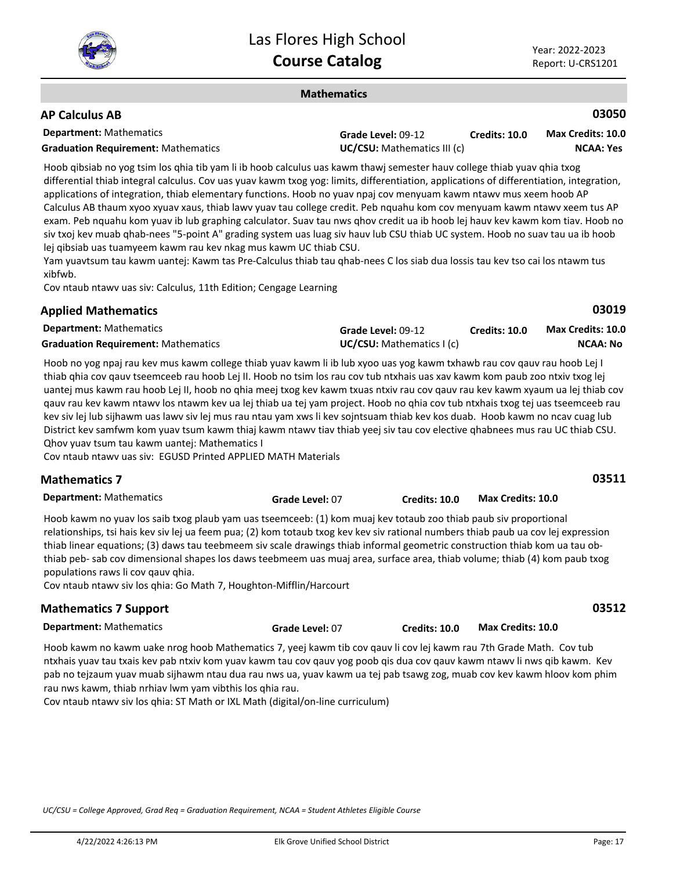

**03019**

#### **Mathematics**

## **AP Calculus AB**

| <b>Department:</b> Mathematics             | Grade Level: 09-12                 | <b>Credits: 10.0</b> | Max Credits: 10.0 |
|--------------------------------------------|------------------------------------|----------------------|-------------------|
| <b>Graduation Requirement: Mathematics</b> | <b>UC/CSU:</b> Mathematics III (c) |                      | <b>NCAA: Yes</b>  |

Hoob qibsiab no yog tsim los qhia tib yam li ib hoob calculus uas kawm thawj semester hauv college thiab yuav qhia txog differential thiab integral calculus. Cov uas yuav kawm txog yog: limits, differentiation, applications of differentiation, integration, applications of integration, thiab elementary functions. Hoob no yuav npaj cov menyuam kawm ntawv mus xeem hoob AP Calculus AB thaum xyoo xyuav xaus, thiab lawv yuav tau college credit. Peb nquahu kom cov menyuam kawm ntawv xeem tus AP exam. Peb nquahu kom yuav ib lub graphing calculator. Suav tau nws qhov credit ua ib hoob lej hauv kev kawm kom tiav. Hoob no siv txoj kev muab qhab-nees "5-point A" grading system uas luag siv hauv lub CSU thiab UC system. Hoob no suav tau ua ib hoob lej qibsiab uas tuamyeem kawm rau kev nkag mus kawm UC thiab CSU.

Yam yuavtsum tau kawm uantej: Kawm tas Pre-Calculus thiab tau qhab-nees C los siab dua lossis tau kev tso cai los ntawm tus xibfwb.

Cov ntaub ntawv uas siv: Calculus, 11th Edition; Cengage Learning

#### **Applied Mathematics**

| <b>Department:</b> Mathematics             | Grade Level: 09-12       | <b>Credits: 10.0</b> | <b>Max Credits: 10.0</b> |
|--------------------------------------------|--------------------------|----------------------|--------------------------|
| <b>Graduation Requirement: Mathematics</b> | UC/CSU: Mathematics I(c) |                      | NCAA: No                 |

Hoob no yog npaj rau kev mus kawm college thiab yuav kawm li ib lub xyoo uas yog kawm txhawb rau cov qauv rau hoob Lej I thiab qhia cov qauv tseemceeb rau hoob Lej II. Hoob no tsim los rau cov tub ntxhais uas xav kawm kom paub zoo ntxiv txog lej uantej mus kawm rau hoob Lej II, hoob no qhia meej txog kev kawm txuas ntxiv rau cov qauv rau kev kawm xyaum ua lej thiab cov qauv rau kev kawm ntawv los ntawm kev ua lej thiab ua tej yam project. Hoob no qhia cov tub ntxhais txog tej uas tseemceeb rau kev siv lej lub sijhawm uas lawv siv lej mus rau ntau yam xws li kev sojntsuam thiab kev kos duab. Hoob kawm no ncav cuag lub District kev samfwm kom yuav tsum kawm thiaj kawm ntawv tiav thiab yeej siv tau cov elective qhabnees mus rau UC thiab CSU. Qhov yuav tsum tau kawm uantej: Mathematics I

Cov ntaub ntawv uas siv: EGUSD Printed APPLIED MATH Materials

| <b>Mathematics 7</b>           |                 |               |                   | 03511 |
|--------------------------------|-----------------|---------------|-------------------|-------|
| <b>Department:</b> Mathematics | Grade Level: 07 | Credits: 10.0 | Max Credits: 10.0 |       |

Hoob kawm no yuav los saib txog plaub yam uas tseemceeb: (1) kom muaj kev totaub zoo thiab paub siv proportional relationships, tsi hais kev siv lej ua feem pua; (2) kom totaub txog kev kev siv rational numbers thiab paub ua cov lej expression thiab linear equations; (3) daws tau teebmeem siv scale drawings thiab informal geometric construction thiab kom ua tau obthiab peb- sab cov dimensional shapes los daws teebmeem uas muaj area, surface area, thiab volume; thiab (4) kom paub txog populations raws li cov qauv qhia.

Cov ntaub ntawv siv los qhia: Go Math 7, Houghton-Mifflin/Harcourt

## **Mathematics 7 Support**

**Department:** Mathematics

Hoob kawm no kawm uake nrog hoob Mathematics 7, yeej kawm tib cov qauv li cov lej kawm rau 7th Grade Math. Cov tub ntxhais yuav tau txais kev pab ntxiv kom yuav kawm tau cov qauv yog poob qis dua cov qauv kawm ntawv li nws qib kawm. Kev pab no tejzaum yuav muab sijhawm ntau dua rau nws ua, yuav kawm ua tej pab tsawg zog, muab cov kev kawm hloov kom phim rau nws kawm, thiab nrhiav lwm yam vibthis los qhia rau.

Cov ntaub ntawv siv los qhia: ST Math or IXL Math (digital/on-line curriculum)

**03512**

**Grade Level:** 07 **Credits: 10.0 Max Credits: 10.0**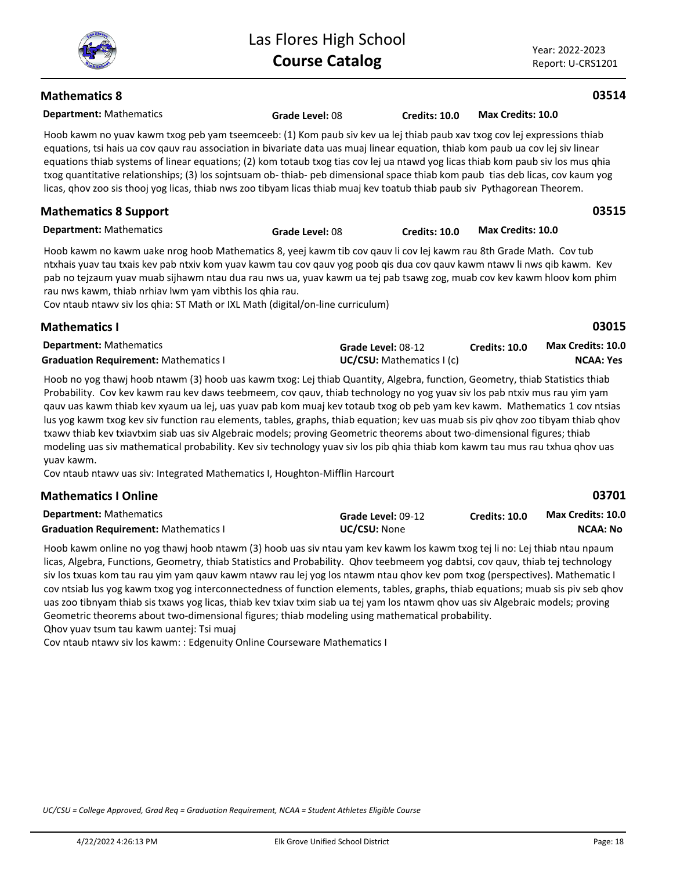Year: 2022-2023 Report: U-CRS1201

#### **Mathematics 8**

**Department:** Mathematics

Hoob kawm no yuav kawm txog peb yam tseemceeb: (1) Kom paub siv kev ua lej thiab paub xav txog cov lej expressions thiab equations, tsi hais ua cov qauv rau association in bivariate data uas muaj linear equation, thiab kom paub ua cov lej siv linear equations thiab systems of linear equations; (2) kom totaub txog tias cov lej ua ntawd yog licas thiab kom paub siv los mus qhia txog quantitative relationships; (3) los sojntsuam ob- thiab- peb dimensional space thiab kom paub tias deb licas, cov kaum yog licas, qhov zoo sis thooj yog licas, thiab nws zoo tibyam licas thiab muaj kev toatub thiab paub siv Pythagorean Theorem.

**Grade Level:** 08 **Credits: 10.0 Max Credits: 10.0**

**Grade Level:** 08 **Credits: 10.0 Max Credits: 10.0**

**Department:** Mathematics

Hoob kawm no kawm uake nrog hoob Mathematics 8, yeej kawm tib cov qauv li cov lej kawm rau 8th Grade Math. Cov tub ntxhais yuav tau txais kev pab ntxiv kom yuav kawm tau cov qauv yog poob qis dua cov qauv kawm ntawv li nws qib kawm. Kev pab no tejzaum yuav muab sijhawm ntau dua rau nws ua, yuav kawm ua tej pab tsawg zog, muab cov kev kawm hloov kom phim rau nws kawm, thiab nrhiav lwm yam vibthis los qhia rau.

Cov ntaub ntawv siv los qhia: ST Math or IXL Math (digital/on-line curriculum)

| <b>Mathematics I</b>                         |                                  |               | 03015                    |
|----------------------------------------------|----------------------------------|---------------|--------------------------|
| <b>Department:</b> Mathematics               | Grade Level: 08-12               | Credits: 10.0 | <b>Max Credits: 10.0</b> |
| <b>Graduation Requirement: Mathematics I</b> | <b>UC/CSU:</b> Mathematics I (c) |               | NCAA: Yes                |

Hoob no yog thawj hoob ntawm (3) hoob uas kawm txog: Lej thiab Quantity, Algebra, function, Geometry, thiab Statistics thiab Probability. Cov kev kawm rau kev daws teebmeem, cov qauv, thiab technology no yog yuav siv los pab ntxiv mus rau yim yam qauv uas kawm thiab kev xyaum ua lej, uas yuav pab kom muaj kev totaub txog ob peb yam kev kawm. Mathematics 1 cov ntsias lus yog kawm txog kev siv function rau elements, tables, graphs, thiab equation; kev uas muab sis piv qhov zoo tibyam thiab qhov txawv thiab kev txiavtxim siab uas siv Algebraic models; proving Geometric theorems about two-dimensional figures; thiab modeling uas siv mathematical probability. Kev siv technology yuav siv los pib qhia thiab kom kawm tau mus rau txhua qhov uas yuav kawm.

Cov ntaub ntawv uas siv: Integrated Mathematics I, Houghton-Mifflin Harcourt

| <b>Mathematics I Online</b>                  |                     |                      | 03701             |  |
|----------------------------------------------|---------------------|----------------------|-------------------|--|
| <b>Department:</b> Mathematics               | Grade Level: 09-12  | <b>Credits: 10.0</b> | Max Credits: 10.0 |  |
| <b>Graduation Requirement: Mathematics I</b> | <b>UC/CSU:</b> None |                      | NCAA: No          |  |

Hoob kawm online no yog thawj hoob ntawm (3) hoob uas siv ntau yam kev kawm los kawm txog tej li no: Lej thiab ntau npaum licas, Algebra, Functions, Geometry, thiab Statistics and Probability. Qhov teebmeem yog dabtsi, cov qauv, thiab tej technology siv los txuas kom tau rau yim yam qauv kawm ntawv rau lej yog los ntawm ntau qhov kev pom txog (perspectives). Mathematic I cov ntsiab lus yog kawm txog yog interconnectedness of function elements, tables, graphs, thiab equations; muab sis piv seb qhov uas zoo tibnyam thiab sis txaws yog licas, thiab kev txiav txim siab ua tej yam los ntawm qhov uas siv Algebraic models; proving Geometric theorems about two-dimensional figures; thiab modeling using mathematical probability. Qhov yuav tsum tau kawm uantej: Tsi muaj

Cov ntaub ntawv siv los kawm: : Edgenuity Online Courseware Mathematics I

*UC/CSU = College Approved, Grad Req = Graduation Requirement, NCAA = Student Athletes Eligible Course*



#### **03514**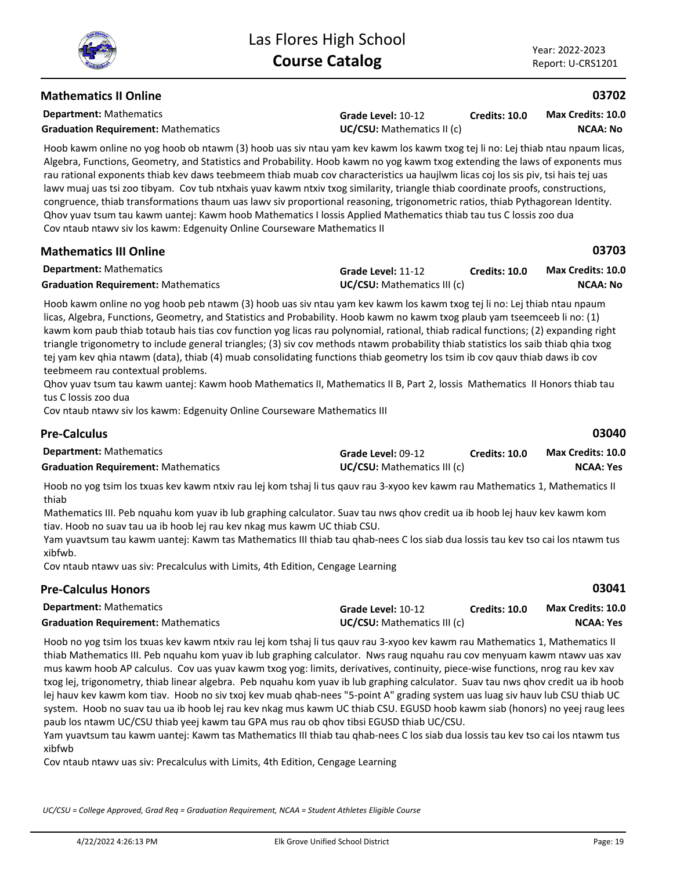**03703**

## **Mathematics II Online**

**Department:** Mathematics

**Grade Level:** 10-12 **Graduation Requirement:** Mathematics **UC/CSU:** Mathematics II (c)

**Credits: 10.0 NCAA: No Max Credits: 10.0**

Hoob kawm online no yog hoob ob ntawm (3) hoob uas siv ntau yam kev kawm los kawm txog tej li no: Lej thiab ntau npaum licas, Algebra, Functions, Geometry, and Statistics and Probability. Hoob kawm no yog kawm txog extending the laws of exponents mus rau rational exponents thiab kev daws teebmeem thiab muab cov characteristics ua haujlwm licas coj los sis piv, tsi hais tej uas lawy muaj uas tsi zoo tibyam. Cov tub ntxhais yuav kawm ntxiv txog similarity, triangle thiab coordinate proofs, constructions, congruence, thiab transformations thaum uas lawv siv proportional reasoning, trigonometric ratios, thiab Pythagorean Identity. Qhov yuav tsum tau kawm uantej: Kawm hoob Mathematics I lossis Applied Mathematics thiab tau tus C lossis zoo dua Cov ntaub ntawv siv los kawm: Edgenuity Online Courseware Mathematics II

| <b>Department:</b> Mathematics             | Grade Level: 11-12                 | <b>Credits: 10.0</b> | <b>Max Credits: 10.0</b> |
|--------------------------------------------|------------------------------------|----------------------|--------------------------|
| <b>Graduation Requirement: Mathematics</b> | <b>UC/CSU:</b> Mathematics III (c) |                      | <b>NCAA: No</b>          |

Hoob kawm online no yog hoob peb ntawm (3) hoob uas siv ntau yam kev kawm los kawm txog tej li no: Lej thiab ntau npaum licas, Algebra, Functions, Geometry, and Statistics and Probability. Hoob kawm no kawm txog plaub yam tseemceeb li no: (1) kawm kom paub thiab totaub hais tias cov function yog licas rau polynomial, rational, thiab radical functions; (2) expanding right triangle trigonometry to include general triangles; (3) siv cov methods ntawm probability thiab statistics los saib thiab qhia txog tej yam kev qhia ntawm (data), thiab (4) muab consolidating functions thiab geometry los tsim ib cov qauv thiab daws ib cov teebmeem rau contextual problems.

Qhov yuav tsum tau kawm uantej: Kawm hoob Mathematics II, Mathematics II B, Part 2, lossis Mathematics II Honors thiab tau tus C lossis zoo dua

Cov ntaub ntawv siv los kawm: Edgenuity Online Courseware Mathematics III

| <b>Pre-Calculus</b>                        |                                    |               | 03040             |
|--------------------------------------------|------------------------------------|---------------|-------------------|
| <b>Department:</b> Mathematics             | Grade Level: 09-12                 | Credits: 10.0 | Max Credits: 10.0 |
| <b>Graduation Requirement: Mathematics</b> | <b>UC/CSU:</b> Mathematics III (c) |               | NCAA: Yes         |

Hoob no yog tsim los txuas kev kawm ntxiv rau lej kom tshaj li tus qauv rau 3-xyoo kev kawm rau Mathematics 1, Mathematics II thiab

Mathematics III. Peb nquahu kom yuav ib lub graphing calculator. Suav tau nws qhov credit ua ib hoob lej hauv kev kawm kom tiav. Hoob no suav tau ua ib hoob lej rau kev nkag mus kawm UC thiab CSU.

Yam yuavtsum tau kawm uantej: Kawm tas Mathematics III thiab tau qhab-nees C los siab dua lossis tau kev tso cai los ntawm tus xibfwb.

Cov ntaub ntawv uas siv: Precalculus with Limits, 4th Edition, Cengage Learning

## **Pre-Calculus Honors**

| <b>Department:</b> Mathematics             | Grade Level: 10-12                 | <b>Credits: 10.0</b> | <b>Max Credits: 10.0</b> |
|--------------------------------------------|------------------------------------|----------------------|--------------------------|
| <b>Graduation Requirement: Mathematics</b> | <b>UC/CSU:</b> Mathematics III (c) |                      | NCAA: Yes                |

Hoob no yog tsim los txuas kev kawm ntxiv rau lej kom tshaj li tus qauv rau 3-xyoo kev kawm rau Mathematics 1, Mathematics II thiab Mathematics III. Peb nquahu kom yuav ib lub graphing calculator. Nws raug nquahu rau cov menyuam kawm ntawv uas xav mus kawm hoob AP calculus. Cov uas yuav kawm txog yog: limits, derivatives, continuity, piece-wise functions, nrog rau kev xav txog lej, trigonometry, thiab linear algebra. Peb nquahu kom yuav ib lub graphing calculator. Suav tau nws qhov credit ua ib hoob lej hauv kev kawm kom tiav. Hoob no siv txoj kev muab qhab-nees "5-point A" grading system uas luag siv hauv lub CSU thiab UC system. Hoob no suav tau ua ib hoob lej rau kev nkag mus kawm UC thiab CSU. EGUSD hoob kawm siab (honors) no yeej raug lees paub los ntawm UC/CSU thiab yeej kawm tau GPA mus rau ob qhov tibsi EGUSD thiab UC/CSU.

Yam yuavtsum tau kawm uantej: Kawm tas Mathematics III thiab tau qhab-nees C los siab dua lossis tau kev tso cai los ntawm tus xibfwb

Cov ntaub ntawv uas siv: Precalculus with Limits, 4th Edition, Cengage Learning

*UC/CSU = College Approved, Grad Req = Graduation Requirement, NCAA = Student Athletes Eligible Course*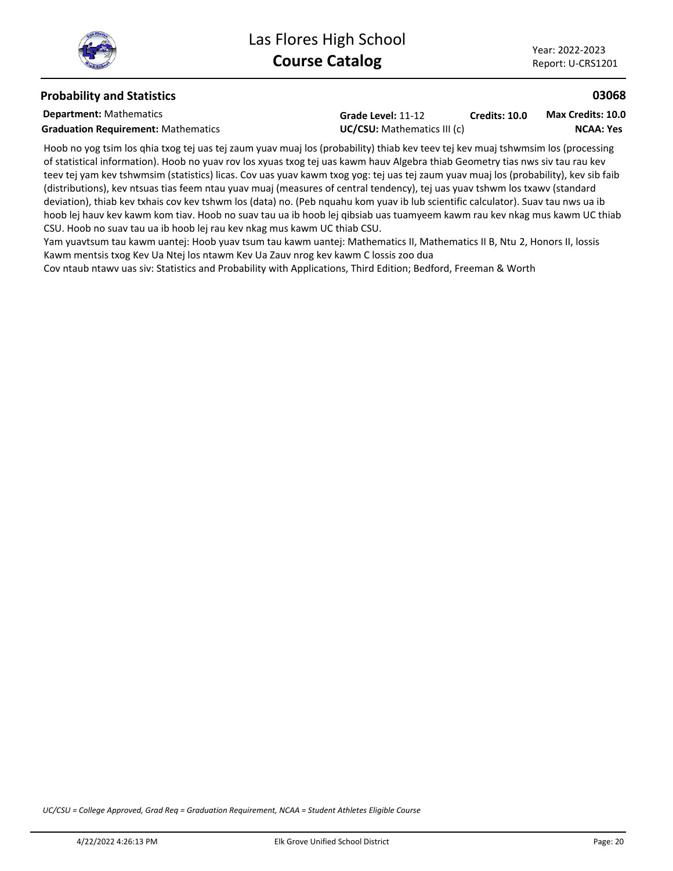## **Probability and Statistics**

**Department:** Mathematics

**Graduation Requirement:** Mathematics **UC/CSU:** Mathematics III (c)

**Grade Level:** 11-12 **Credits: 10.0**

**NCAA: Yes Max Credits: 10.0**

**03068**

Hoob no yog tsim los qhia txog tej uas tej zaum yuav muaj los (probability) thiab kev teev tej kev muaj tshwmsim los (processing of statistical information). Hoob no yuav rov los xyuas txog tej uas kawm hauv Algebra thiab Geometry tias nws siv tau rau kev teev tej yam kev tshwmsim (statistics) licas. Cov uas yuav kawm txog yog: tej uas tej zaum yuav muaj los (probability), kev sib faib (distributions), kev ntsuas tias feem ntau yuav muaj (measures of central tendency), tej uas yuav tshwm los txawv (standard deviation), thiab kev txhais cov kev tshwm los (data) no. (Peb nquahu kom yuav ib lub scientific calculator). Suav tau nws ua ib hoob lej hauv kev kawm kom tiav. Hoob no suav tau ua ib hoob lej qibsiab uas tuamyeem kawm rau kev nkag mus kawm UC thiab CSU. Hoob no suav tau ua ib hoob lej rau kev nkag mus kawm UC thiab CSU.

Yam yuavtsum tau kawm uantej: Hoob yuav tsum tau kawm uantej: Mathematics II, Mathematics II B, Ntu 2, Honors II, lossis Kawm mentsis txog Kev Ua Ntej los ntawm Kev Ua Zauv nrog kev kawm C lossis zoo dua

Cov ntaub ntawv uas siv: Statistics and Probability with Applications, Third Edition; Bedford, Freeman & Worth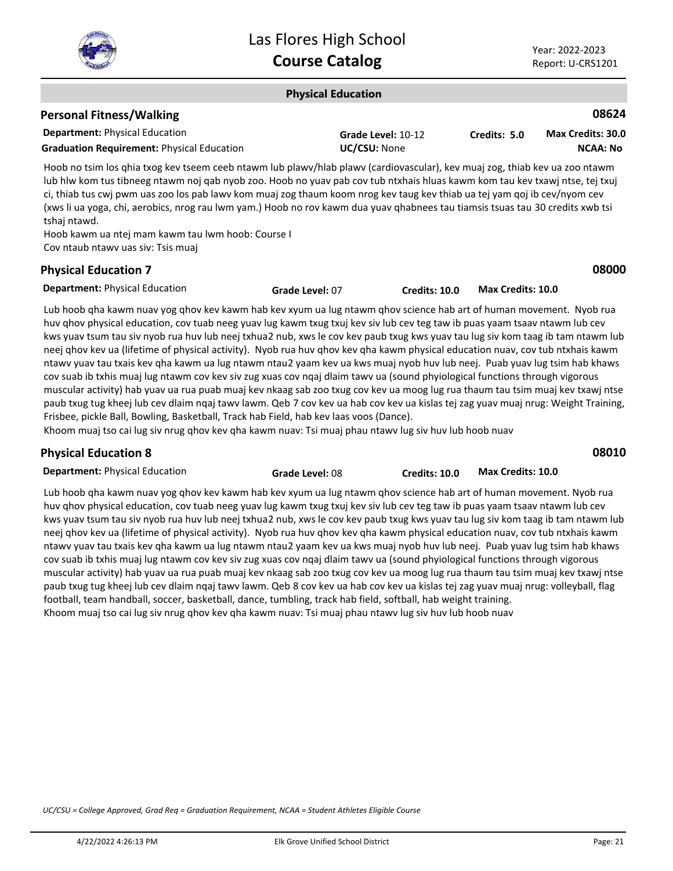

**08000**

#### **Physical Education**

## **Personal Fitness/Walking**

| <b>Department:</b> Physical Education             | Grade Level: 10-12  | Credits: 5.0 | <b>Max Credits: 30.0</b> |
|---------------------------------------------------|---------------------|--------------|--------------------------|
| <b>Graduation Requirement: Physical Education</b> | <b>UC/CSU: None</b> |              | NCAA: No                 |

Hoob no tsim los qhia txog kev tseem ceeb ntawm lub plawv/hlab plawv (cardiovascular), kev muaj zog, thiab kev ua zoo ntawm lub hlw kom tus tibneeg ntawm noj qab nyob zoo. Hoob no yuav pab cov tub ntxhais hluas kawm kom tau kev txawj ntse, tej txuj ci, thiab tus cwj pwm uas zoo los pab lawv kom muaj zog thaum koom nrog kev taug kev thiab ua tej yam qoj ib cev/nyom cev (xws li ua yoga, chi, aerobics, nrog rau lwm yam.) Hoob no rov kawm dua yuav qhabnees tau tiamsis tsuas tau 30 credits xwb tsi tshaj ntawd.

Hoob kawm ua ntej mam kawm tau lwm hoob: Course I Cov ntaub ntawv uas siv: Tsis muaj

## **Physical Education 7**

**Department:** Physical Education

Lub hoob qha kawm nuav yog qhov kev kawm hab kev xyum ua lug ntawm qhov science hab art of human movement. Nyob rua huv qhov physical education, cov tuab neeg yuav lug kawm txug txuj kev siv lub cev teg taw ib puas yaam tsaav ntawm lub cev kws yuav tsum tau siv nyob rua huv lub neej txhua2 nub, xws le cov kev paub txug kws yuav tau lug siv kom taag ib tam ntawm lub neej qhov kev ua (lifetime of physical activity). Nyob rua huv qhov kev qha kawm physical education nuav, cov tub ntxhais kawm ntawv yuav tau txais kev qha kawm ua lug ntawm ntau2 yaam kev ua kws muaj nyob huv lub neej. Puab yuav lug tsim hab khaws cov suab ib txhis muaj lug ntawm cov kev siv zug xuas cov nqaj dlaim tawv ua (sound phyiological functions through vigorous muscular activity) hab yuav ua rua puab muaj kev nkaag sab zoo txug cov kev ua moog lug rua thaum tau tsim muaj kev txawj ntse paub txug tug kheej lub cev dlaim nqaj tawv lawm. Qeb 7 cov kev ua hab cov kev ua kislas tej zag yuav muaj nrug: Weight Training, Frisbee, pickle Ball, Bowling, Basketball, Track hab Field, hab kev laas voos (Dance).

**Grade Level:** 07 **Credits: 10.0 Max Credits: 10.0**

Khoom muaj tso cai lug siv nrug qhov kev qha kawm nuav: Tsi muaj phau ntawv lug siv huv lub hoob nuav

| <b>Physical Education 8</b>           |                 |                      |                   | 08010 |
|---------------------------------------|-----------------|----------------------|-------------------|-------|
| <b>Department:</b> Physical Education | Grade Level: 08 | <b>Credits: 10.0</b> | Max Credits: 10.0 |       |

Lub hoob qha kawm nuav yog qhov kev kawm hab kev xyum ua lug ntawm qhov science hab art of human movement. Nyob rua huv qhov physical education, cov tuab neeg yuav lug kawm txug txuj kev siv lub cev teg taw ib puas yaam tsaav ntawm lub cev kws yuav tsum tau siv nyob rua huv lub neej txhua2 nub, xws le cov kev paub txug kws yuav tau lug siv kom taag ib tam ntawm lub neej qhov kev ua (lifetime of physical activity). Nyob rua huv qhov kev qha kawm physical education nuav, cov tub ntxhais kawm ntawv yuav tau txais kev qha kawm ua lug ntawm ntau2 yaam kev ua kws muaj nyob huv lub neej. Puab yuav lug tsim hab khaws cov suab ib txhis muaj lug ntawm cov kev siv zug xuas cov nqaj dlaim tawv ua (sound phyiological functions through vigorous muscular activity) hab yuav ua rua puab muaj kev nkaag sab zoo txug cov kev ua moog lug rua thaum tau tsim muaj kev txawj ntse paub txug tug kheej lub cev dlaim nqaj tawv lawm. Qeb 8 cov kev ua hab cov kev ua kislas tej zag yuav muaj nrug: volleyball, flag football, team handball, soccer, basketball, dance, tumbling, track hab field, softball, hab weight training. Khoom muaj tso cai lug siv nrug qhov kev qha kawm nuav: Tsi muaj phau ntawv lug siv huv lub hoob nuav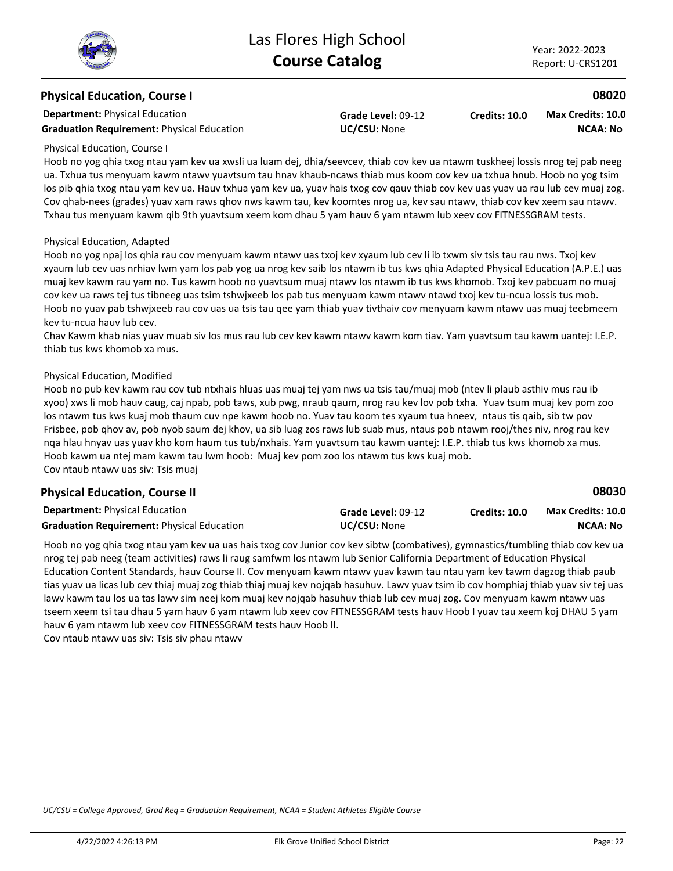#### **Physical Education, Course I**

**Department:** Physical Education

Graduation Requirement: Physical Education **UC/CSU:** None

**Grade Level:** 09-12

**Credits: 10.0 NCAA: No Max Credits: 10.0**

#### Physical Education, Course I

Hoob no yog qhia txog ntau yam kev ua xwsli ua luam dej, dhia/seevcev, thiab cov kev ua ntawm tuskheej lossis nrog tej pab neeg ua. Txhua tus menyuam kawm ntawv yuavtsum tau hnav khaub-ncaws thiab mus koom cov kev ua txhua hnub. Hoob no yog tsim los pib qhia txog ntau yam kev ua. Hauv txhua yam kev ua, yuav hais txog cov qauv thiab cov kev uas yuav ua rau lub cev muaj zog. Cov qhab-nees (grades) yuav xam raws qhov nws kawm tau, kev koomtes nrog ua, kev sau ntawv, thiab cov kev xeem sau ntawv. Txhau tus menyuam kawm qib 9th yuavtsum xeem kom dhau 5 yam hauv 6 yam ntawm lub xeev cov FITNESSGRAM tests.

#### Physical Education, Adapted

Hoob no yog npaj los qhia rau cov menyuam kawm ntawv uas txoj kev xyaum lub cev li ib txwm siv tsis tau rau nws. Txoj kev xyaum lub cev uas nrhiav lwm yam los pab yog ua nrog kev saib los ntawm ib tus kws qhia Adapted Physical Education (A.P.E.) uas muaj kev kawm rau yam no. Tus kawm hoob no yuavtsum muaj ntawv los ntawm ib tus kws khomob. Txoj kev pabcuam no muaj cov kev ua raws tej tus tibneeg uas tsim tshwjxeeb los pab tus menyuam kawm ntawv ntawd txoj kev tu-ncua lossis tus mob. Hoob no yuav pab tshwjxeeb rau cov uas ua tsis tau qee yam thiab yuav tivthaiv cov menyuam kawm ntawv uas muaj teebmeem kev tu-ncua hauv lub cev.

Chav Kawm khab nias yuav muab siv los mus rau lub cev kev kawm ntawv kawm kom tiav. Yam yuavtsum tau kawm uantej: I.E.P. thiab tus kws khomob xa mus.

#### Physical Education, Modified

Hoob no pub kev kawm rau cov tub ntxhais hluas uas muaj tej yam nws ua tsis tau/muaj mob (ntev li plaub asthiv mus rau ib xyoo) xws li mob hauv caug, caj npab, pob taws, xub pwg, nraub qaum, nrog rau kev lov pob txha. Yuav tsum muaj kev pom zoo los ntawm tus kws kuaj mob thaum cuv npe kawm hoob no. Yuav tau koom tes xyaum tua hneev, ntaus tis qaib, sib tw pov Frisbee, pob qhov av, pob nyob saum dej khov, ua sib luag zos raws lub suab mus, ntaus pob ntawm rooj/thes niv, nrog rau kev nqa hlau hnyav uas yuav kho kom haum tus tub/nxhais. Yam yuavtsum tau kawm uantej: I.E.P. thiab tus kws khomob xa mus. Hoob kawm ua ntej mam kawm tau lwm hoob: Muaj kev pom zoo los ntawm tus kws kuaj mob. Cov ntaub ntawv uas siv: Tsis muaj

## **Physical Education, Course II**

| <b>Department: Physical Education</b>             | Grade Level: 09-12  | Credits: 10.0 | <b>Max Credits: 10.0</b> |
|---------------------------------------------------|---------------------|---------------|--------------------------|
| <b>Graduation Requirement: Physical Education</b> | <b>UC/CSU:</b> None |               | NCAA: No                 |

Hoob no yog qhia txog ntau yam kev ua uas hais txog cov Junior cov kev sibtw (combatives), gymnastics/tumbling thiab cov kev ua nrog tej pab neeg (team activities) raws li raug samfwm los ntawm lub Senior California Department of Education Physical Education Content Standards, hauv Course II. Cov menyuam kawm ntawv yuav kawm tau ntau yam kev tawm dagzog thiab paub tias yuav ua licas lub cev thiaj muaj zog thiab thiaj muaj kev nojqab hasuhuv. Lawv yuav tsim ib cov homphiaj thiab yuav siv tej uas lawv kawm tau los ua tas lawv sim neej kom muaj kev nojqab hasuhuv thiab lub cev muaj zog. Cov menyuam kawm ntawv uas tseem xeem tsi tau dhau 5 yam hauv 6 yam ntawm lub xeev cov FITNESSGRAM tests hauv Hoob I yuav tau xeem koj DHAU 5 yam hauv 6 yam ntawm lub xeev cov FITNESSGRAM tests hauv Hoob II. Cov ntaub ntawv uas siv: Tsis siv phau ntawv

*UC/CSU = College Approved, Grad Req = Graduation Requirement, NCAA = Student Athletes Eligible Course*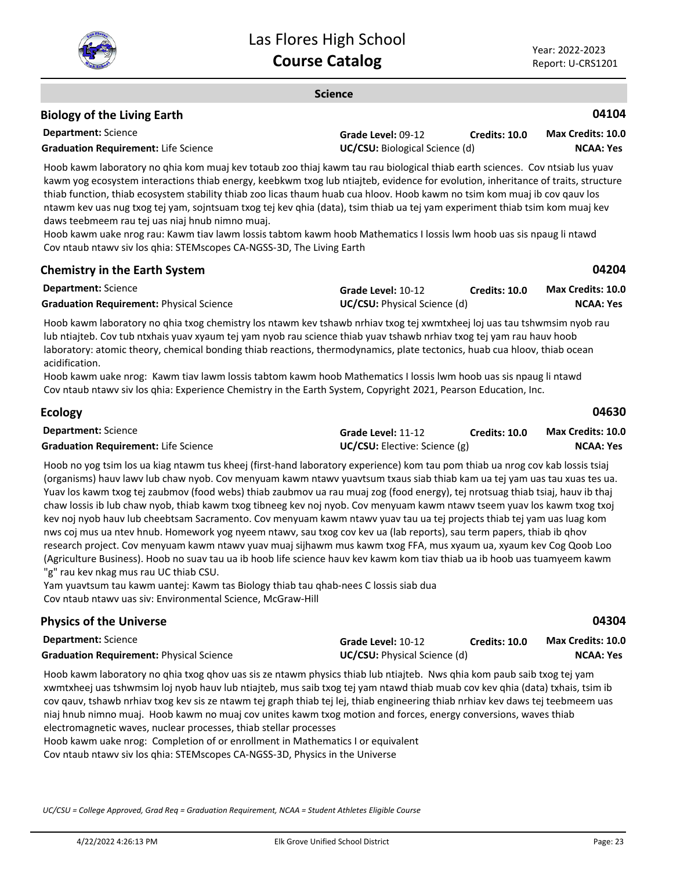

#### **Science**

## **Biology of the Living Earth**

| <b>Department:</b> Science                  | Grade Level: 09-12                    | <b>Credits: 10.0</b> | <b>Max Credits: 10.0</b> |
|---------------------------------------------|---------------------------------------|----------------------|--------------------------|
| <b>Graduation Requirement: Life Science</b> | <b>UC/CSU:</b> Biological Science (d) |                      | <b>NCAA: Yes</b>         |

Hoob kawm laboratory no qhia kom muaj kev totaub zoo thiaj kawm tau rau biological thiab earth sciences. Cov ntsiab lus yuav kawm yog ecosystem interactions thiab energy, keebkwm txog lub ntiajteb, evidence for evolution, inheritance of traits, structure thiab function, thiab ecosystem stability thiab zoo licas thaum huab cua hloov. Hoob kawm no tsim kom muaj ib cov qauv los ntawm kev uas nug txog tej yam, sojntsuam txog tej kev qhia (data), tsim thiab ua tej yam experiment thiab tsim kom muaj kev daws teebmeem rau tej uas niaj hnub nimno muaj.

Hoob kawm uake nrog rau: Kawm tiav lawm lossis tabtom kawm hoob Mathematics I lossis lwm hoob uas sis npaug li ntawd Cov ntaub ntawv siv los qhia: STEMscopes CA-NGSS-3D, The Living Earth

#### **Chemistry in the Earth System**

**04104**

| <b>Department:</b> Science                      | Grade Level: 10-12                  | Credits: 10.0 | <b>Max Credits: 10.0</b> |
|-------------------------------------------------|-------------------------------------|---------------|--------------------------|
| <b>Graduation Requirement: Physical Science</b> | <b>UC/CSU:</b> Physical Science (d) |               | NCAA: Yes                |

Hoob kawm laboratory no qhia txog chemistry los ntawm kev tshawb nrhiav txog tej xwmtxheej loj uas tau tshwmsim nyob rau lub ntiajteb. Cov tub ntxhais yuav xyaum tej yam nyob rau science thiab yuav tshawb nrhiav txog tej yam rau hauv hoob laboratory: atomic theory, chemical bonding thiab reactions, thermodynamics, plate tectonics, huab cua hloov, thiab ocean acidification.

Hoob kawm uake nrog: Kawm tiav lawm lossis tabtom kawm hoob Mathematics I lossis lwm hoob uas sis npaug li ntawd Cov ntaub ntawv siv los qhia: Experience Chemistry in the Earth System, Copyright 2021, Pearson Education, Inc.

| <b>Ecology</b>                              |                                      |               | 04630             |
|---------------------------------------------|--------------------------------------|---------------|-------------------|
| <b>Department:</b> Science                  | Grade Level: 11-12                   | Credits: 10.0 | Max Credits: 10.0 |
| <b>Graduation Requirement: Life Science</b> | <b>UC/CSU:</b> Elective: Science (g) |               | NCAA: Yes         |

Hoob no yog tsim los ua kiag ntawm tus kheej (first-hand laboratory experience) kom tau pom thiab ua nrog cov kab lossis tsiaj (organisms) hauv lawv lub chaw nyob. Cov menyuam kawm ntawv yuavtsum txaus siab thiab kam ua tej yam uas tau xuas tes ua. Yuav los kawm txog tej zaubmov (food webs) thiab zaubmov ua rau muaj zog (food energy), tej nrotsuag thiab tsiaj, hauv ib thaj chaw lossis ib lub chaw nyob, thiab kawm txog tibneeg kev noj nyob. Cov menyuam kawm ntawv tseem yuav los kawm txog txoj kev noj nyob hauv lub cheebtsam Sacramento. Cov menyuam kawm ntawv yuav tau ua tej projects thiab tej yam uas luag kom nws coj mus ua ntev hnub. Homework yog nyeem ntawv, sau txog cov kev ua (lab reports), sau term papers, thiab ib qhov research project. Cov menyuam kawm ntawv yuav muaj sijhawm mus kawm txog FFA, mus xyaum ua, xyaum kev Cog Qoob Loo (Agriculture Business). Hoob no suav tau ua ib hoob life science hauv kev kawm kom tiav thiab ua ib hoob uas tuamyeem kawm "g" rau kev nkag mus rau UC thiab CSU.

Yam yuavtsum tau kawm uantej: Kawm tas Biology thiab tau qhab-nees C lossis siab dua Cov ntaub ntawv uas siv: Environmental Science, McGraw-Hill

## **Physics of the Universe**

**Department:** Science

**Grade Level:** 10-12 **Credits: 10.0 NCAA: Yes Max Credits: 10.0**

**Graduation Requirement:** Physical Science **UC/CSU:** Physical Science (d)

Hoob kawm laboratory no qhia txog qhov uas sis ze ntawm physics thiab lub ntiajteb. Nws qhia kom paub saib txog tej yam xwmtxheej uas tshwmsim loj nyob hauv lub ntiajteb, mus saib txog tej yam ntawd thiab muab cov kev qhia (data) txhais, tsim ib cov qauv, tshawb nrhiav txog kev sis ze ntawm tej graph thiab tej lej, thiab engineering thiab nrhiav kev daws tej teebmeem uas niaj hnub nimno muaj. Hoob kawm no muaj cov unites kawm txog motion and forces, energy conversions, waves thiab electromagnetic waves, nuclear processes, thiab stellar processes

Hoob kawm uake nrog: Completion of or enrollment in Mathematics I or equivalent Cov ntaub ntawv siv los qhia: STEMscopes CA-NGSS-3D, Physics in the Universe

*UC/CSU = College Approved, Grad Req = Graduation Requirement, NCAA = Student Athletes Eligible Course*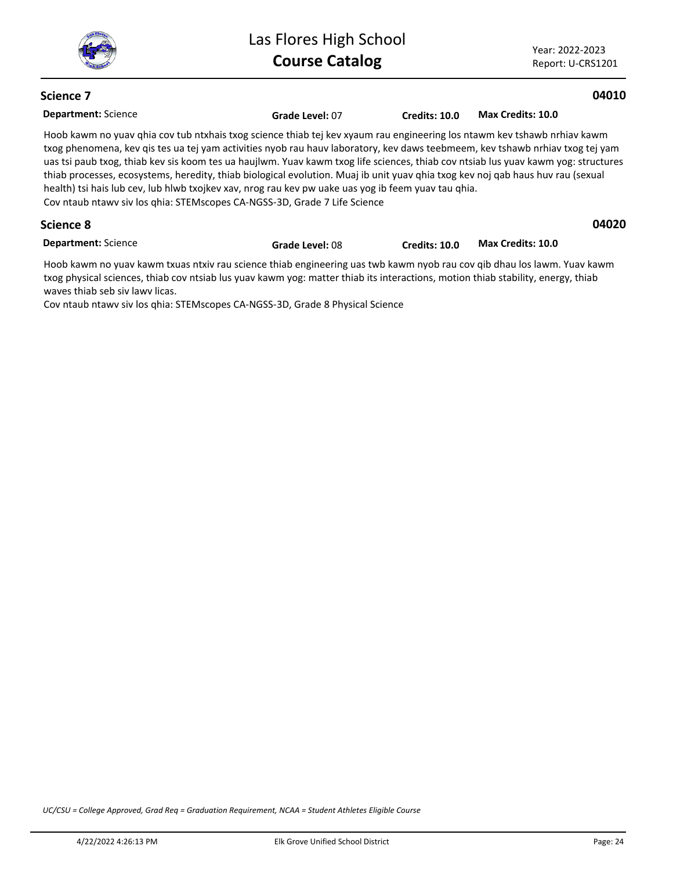

Year: 2022-2023 Report: U-CRS1201

## **Science 7**

#### **04010**

| <b>Department: Science</b> | Grade Level: 07                                                                                                                                                                                                                                                                                                                                                                                                                                                                                                                                                                                                                                                                                                        | Credits: 10.0 | Max Credits: 10.0 |       |
|----------------------------|------------------------------------------------------------------------------------------------------------------------------------------------------------------------------------------------------------------------------------------------------------------------------------------------------------------------------------------------------------------------------------------------------------------------------------------------------------------------------------------------------------------------------------------------------------------------------------------------------------------------------------------------------------------------------------------------------------------------|---------------|-------------------|-------|
|                            | Hoob kawm no yuav ghia cov tub ntxhais txog science thiab tej kev xyaum rau engineering los ntawm kev tshawb nrhiav kawm<br>txog phenomena, kev qis tes ua tej yam activities nyob rau hauv laboratory, kev daws teebmeem, kev tshawb nrhiav txog tej yam<br>uas tsi paub txog, thiab kev sis koom tes ua haujlwm. Yuav kawm txog life sciences, thiab cov ntsiab lus yuav kawm yog: structures<br>thiab processes, ecosystems, heredity, thiab biological evolution. Muaj ib unit yuav qhia txog kev noj qab haus huv rau (sexual<br>health) tsi hais lub cev, lub hlwb txojkev xav, nrog rau kev pw uake uas yog ib feem yuav tau qhia.<br>Cov ntaub ntawy siv los ghia: STEMscopes CA-NGSS-3D, Grade 7 Life Science |               |                   |       |
| Science 8                  |                                                                                                                                                                                                                                                                                                                                                                                                                                                                                                                                                                                                                                                                                                                        |               |                   | 04020 |
| <b>Department: Science</b> | Grade Level: 08                                                                                                                                                                                                                                                                                                                                                                                                                                                                                                                                                                                                                                                                                                        | Credits: 10.0 | Max Credits: 10.0 |       |
|                            | لمستورا يتمريك والمحا بمحاطر والمراقب والمستام والمستمر والمستحدث والمتحدد والمتواط ومحمد والمستحدث والمستمر المستحدث والمستحدث والمحال                                                                                                                                                                                                                                                                                                                                                                                                                                                                                                                                                                                |               |                   |       |

Hoob kawm no yuav kawm txuas ntxiv rau science thiab engineering uas twb kawm nyob rau cov qib dhau los lawm. Yuav kawm txog physical sciences, thiab cov ntsiab lus yuav kawm yog: matter thiab its interactions, motion thiab stability, energy, thiab waves thiab seb siv lawv licas.

Cov ntaub ntawv siv los qhia: STEMscopes CA-NGSS-3D, Grade 8 Physical Science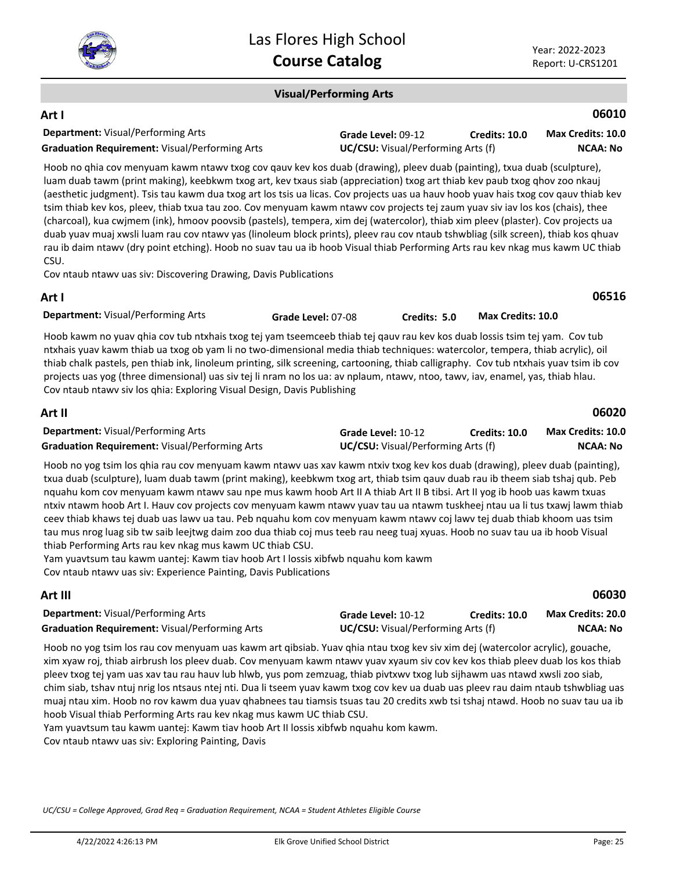

#### **Visual/Performing Arts**

#### **Department:** Visual/Performing Arts **06010 Art I Grade Level:** 09-12 **Graduation Requirement:** Visual/Performing Arts **UC/CSU:** Visual/Performing Arts (f) **Credits: 10.0 NCAA: No Max Credits: 10.0**

Hoob no qhia cov menyuam kawm ntawv txog cov qauv kev kos duab (drawing), pleev duab (painting), txua duab (sculpture), luam duab tawm (print making), keebkwm txog art, kev txaus siab (appreciation) txog art thiab kev paub txog qhov zoo nkauj (aesthetic judgment). Tsis tau kawm dua txog art los tsis ua licas. Cov projects uas ua hauv hoob yuav hais txog cov qauv thiab kev tsim thiab kev kos, pleev, thiab txua tau zoo. Cov menyuam kawm ntawv cov projects tej zaum yuav siv iav los kos (chais), thee (charcoal), kua cwjmem (ink), hmoov poovsib (pastels), tempera, xim dej (watercolor), thiab xim pleev (plaster). Cov projects ua duab yuav muaj xwsli luam rau cov ntawv yas (linoleum block prints), pleev rau cov ntaub tshwbliag (silk screen), thiab kos qhuav rau ib daim ntawv (dry point etching). Hoob no suav tau ua ib hoob Visual thiab Performing Arts rau kev nkag mus kawm UC thiab CSU.

Cov ntaub ntawv uas siv: Discovering Drawing, Davis Publications

## **Art I**

**Department:** Visual/Performing Arts

**Grade Level:** 07-08 **Credits: 5.0 Max Credits: 10.0**

Hoob kawm no yuav qhia cov tub ntxhais txog tej yam tseemceeb thiab tej qauv rau kev kos duab lossis tsim tej yam. Cov tub ntxhais yuav kawm thiab ua txog ob yam li no two-dimensional media thiab techniques: watercolor, tempera, thiab acrylic), oil thiab chalk pastels, pen thiab ink, linoleum printing, silk screening, cartooning, thiab calligraphy. Cov tub ntxhais yuav tsim ib cov projects uas yog (three dimensional) uas siv tej li nram no los ua: av nplaum, ntawv, ntoo, tawv, iav, enamel, yas, thiab hlau. Cov ntaub ntawv siv los qhia: Exploring Visual Design, Davis Publishing

| Art II                                                |                    |                                           | 06020                    |
|-------------------------------------------------------|--------------------|-------------------------------------------|--------------------------|
| <b>Department:</b> Visual/Performing Arts             | Grade Level: 10-12 | <b>Credits: 10.0</b>                      | <b>Max Credits: 10.0</b> |
| <b>Graduation Requirement: Visual/Performing Arts</b> |                    | <b>UC/CSU:</b> Visual/Performing Arts (f) |                          |

Hoob no yog tsim los qhia rau cov menyuam kawm ntawv uas xav kawm ntxiv txog kev kos duab (drawing), pleev duab (painting), txua duab (sculpture), luam duab tawm (print making), keebkwm txog art, thiab tsim qauv duab rau ib theem siab tshaj qub. Peb nquahu kom cov menyuam kawm ntawv sau npe mus kawm hoob Art II A thiab Art II B tibsi. Art II yog ib hoob uas kawm txuas ntxiv ntawm hoob Art I. Hauv cov projects cov menyuam kawm ntawv yuav tau ua ntawm tuskheej ntau ua li tus txawj lawm thiab ceev thiab khaws tej duab uas lawv ua tau. Peb nquahu kom cov menyuam kawm ntawv coj lawv tej duab thiab khoom uas tsim tau mus nrog luag sib tw saib leejtwg daim zoo dua thiab coj mus teeb rau neeg tuaj xyuas. Hoob no suav tau ua ib hoob Visual thiab Performing Arts rau kev nkag mus kawm UC thiab CSU.

Yam yuavtsum tau kawm uantej: Kawm tiav hoob Art I lossis xibfwb nquahu kom kawm Cov ntaub ntawv uas siv: Experience Painting, Davis Publications

## **Art III**

| <b>Department:</b> Visual/Performing Arts             | Grade Level: 10-12                        | <b>Credits: 10.0</b> | <b>Max Credits: 20.0</b> |
|-------------------------------------------------------|-------------------------------------------|----------------------|--------------------------|
| <b>Graduation Requirement: Visual/Performing Arts</b> | <b>UC/CSU:</b> Visual/Performing Arts (f) |                      | <b>NCAA: No</b>          |

Hoob no yog tsim los rau cov menyuam uas kawm art qibsiab. Yuav qhia ntau txog kev siv xim dej (watercolor acrylic), gouache, xim xyaw roj, thiab airbrush los pleev duab. Cov menyuam kawm ntawv yuav xyaum siv cov kev kos thiab pleev duab los kos thiab pleev txog tej yam uas xav tau rau hauv lub hlwb, yus pom zemzuag, thiab pivtxwv txog lub sijhawm uas ntawd xwsli zoo siab, chim siab, tshav ntuj nrig los ntsaus ntej nti. Dua li tseem yuav kawm txog cov kev ua duab uas pleev rau daim ntaub tshwbliag uas muaj ntau xim. Hoob no rov kawm dua yuav qhabnees tau tiamsis tsuas tau 20 credits xwb tsi tshaj ntawd. Hoob no suav tau ua ib hoob Visual thiab Performing Arts rau kev nkag mus kawm UC thiab CSU.

Yam yuavtsum tau kawm uantej: Kawm tiav hoob Art II lossis xibfwb nquahu kom kawm.

Cov ntaub ntawv uas siv: Exploring Painting, Davis

*UC/CSU = College Approved, Grad Req = Graduation Requirement, NCAA = Student Athletes Eligible Course*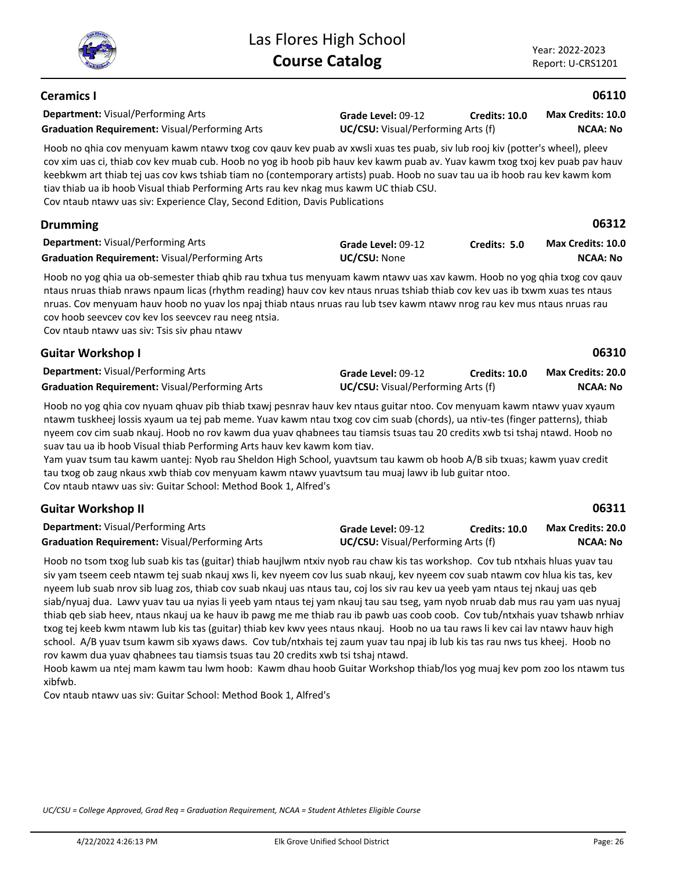**Ceramics I**

**06110**

#### **Department:** Visual/Performing Arts Hoob no qhia cov menyuam kawm ntawv txog cov qauv kev puab av xwsli xuas tes puab, siv lub rooj kiv (potter's wheel), pleev cov xim uas ci, thiab cov kev muab cub. Hoob no yog ib hoob pib hauv kev kawm puab av. Yuav kawm txog txoj kev puab pav hauv keebkwm art thiab tej uas cov kws tshiab tiam no (contemporary artists) puab. Hoob no suav tau ua ib hoob rau kev kawm kom tiav thiab ua ib hoob Visual thiab Performing Arts rau kev nkag mus kawm UC thiab CSU. Cov ntaub ntawv uas siv: Experience Clay, Second Edition, Davis Publications **Grade Level:** 09-12 **Graduation Requirement:** Visual/Performing Arts **UC/CSU:** Visual/Performing Arts (f) **Credits: 10.0 NCAA: No Max Credits: 10.0 Department:** Visual/Performing Arts **06312** Hoob no yog qhia ua ob-semester thiab qhib rau txhua tus menyuam kawm ntawv uas xav kawm. Hoob no yog qhia txog cov qauv ntaus nruas thiab nraws npaum licas (rhythm reading) hauv cov kev ntaus nruas tshiab thiab cov kev uas ib txwm xuas tes ntaus nruas. Cov menyuam hauv hoob no yuav los npaj thiab ntaus nruas rau lub tsev kawm ntawv nrog rau kev mus ntaus nruas rau cov hoob seevcev cov kev los seevcev rau neeg ntsia. Cov ntaub ntawv uas siv: Tsis siv phau ntawv **Drumming Grade Level:** 09-12 **Graduation Requirement:** Visual/Performing Arts **UC/CSU:** None **Credits: 5.0 NCAA: No Max Credits: 10.0 Department:** Visual/Performing Arts **06310** Hoob no yog qhia cov nyuam qhuav pib thiab txawj pesnrav hauv kev ntaus guitar ntoo. Cov menyuam kawm ntawv yuav xyaum ntawm tuskheej lossis xyaum ua tej pab meme. Yuav kawm ntau txog cov cim suab (chords), ua ntiv-tes (finger patterns), thiab nyeem cov cim suab nkauj. Hoob no rov kawm dua yuav qhabnees tau tiamsis tsuas tau 20 credits xwb tsi tshaj ntawd. Hoob no suav tau ua ib hoob Visual thiab Performing Arts hauv kev kawm kom tiav. **Guitar Workshop I Grade Level:** 09-12 **Graduation Requirement:** Visual/Performing Arts **UC/CSU:** Visual/Performing Arts (f) **Credits: 10.0 NCAA: No Max Credits: 20.0**

Yam yuav tsum tau kawm uantej: Nyob rau Sheldon High School, yuavtsum tau kawm ob hoob A/B sib txuas; kawm yuav credit tau txog ob zaug nkaus xwb thiab cov menyuam kawm ntawv yuavtsum tau muaj lawv ib lub guitar ntoo. Cov ntaub ntawv uas siv: Guitar School: Method Book 1, Alfred's

| <b>Guitar Workshop II</b>                             |                                           |                      | 06311             |
|-------------------------------------------------------|-------------------------------------------|----------------------|-------------------|
| <b>Department:</b> Visual/Performing Arts             | <b>Grade Level: 09-12</b>                 | <b>Credits: 10.0</b> | Max Credits: 20.0 |
| <b>Graduation Requirement:</b> Visual/Performing Arts | <b>UC/CSU:</b> Visual/Performing Arts (f) |                      | <b>NCAA: No</b>   |

Hoob no tsom txog lub suab kis tas (guitar) thiab haujlwm ntxiv nyob rau chaw kis tas workshop. Cov tub ntxhais hluas yuav tau siv yam tseem ceeb ntawm tej suab nkauj xws li, kev nyeem cov lus suab nkauj, kev nyeem cov suab ntawm cov hlua kis tas, kev nyeem lub suab nrov sib luag zos, thiab cov suab nkauj uas ntaus tau, coj los siv rau kev ua yeeb yam ntaus tej nkauj uas qeb siab/nyuaj dua. Lawv yuav tau ua nyias li yeeb yam ntaus tej yam nkauj tau sau tseg, yam nyob nruab dab mus rau yam uas nyuaj thiab qeb siab heev, ntaus nkauj ua ke hauv ib pawg me me thiab rau ib pawb uas coob coob. Cov tub/ntxhais yuav tshawb nrhiav txog tej keeb kwm ntawm lub kis tas (guitar) thiab kev kwv yees ntaus nkauj. Hoob no ua tau raws li kev cai lav ntawv hauv high school. A/B yuav tsum kawm sib xyaws daws. Cov tub/ntxhais tej zaum yuav tau npaj ib lub kis tas rau nws tus kheej. Hoob no rov kawm dua yuav qhabnees tau tiamsis tsuas tau 20 credits xwb tsi tshaj ntawd.

Hoob kawm ua ntej mam kawm tau lwm hoob: Kawm dhau hoob Guitar Workshop thiab/los yog muaj kev pom zoo los ntawm tus xibfwb.

Cov ntaub ntawv uas siv: Guitar School: Method Book 1, Alfred's